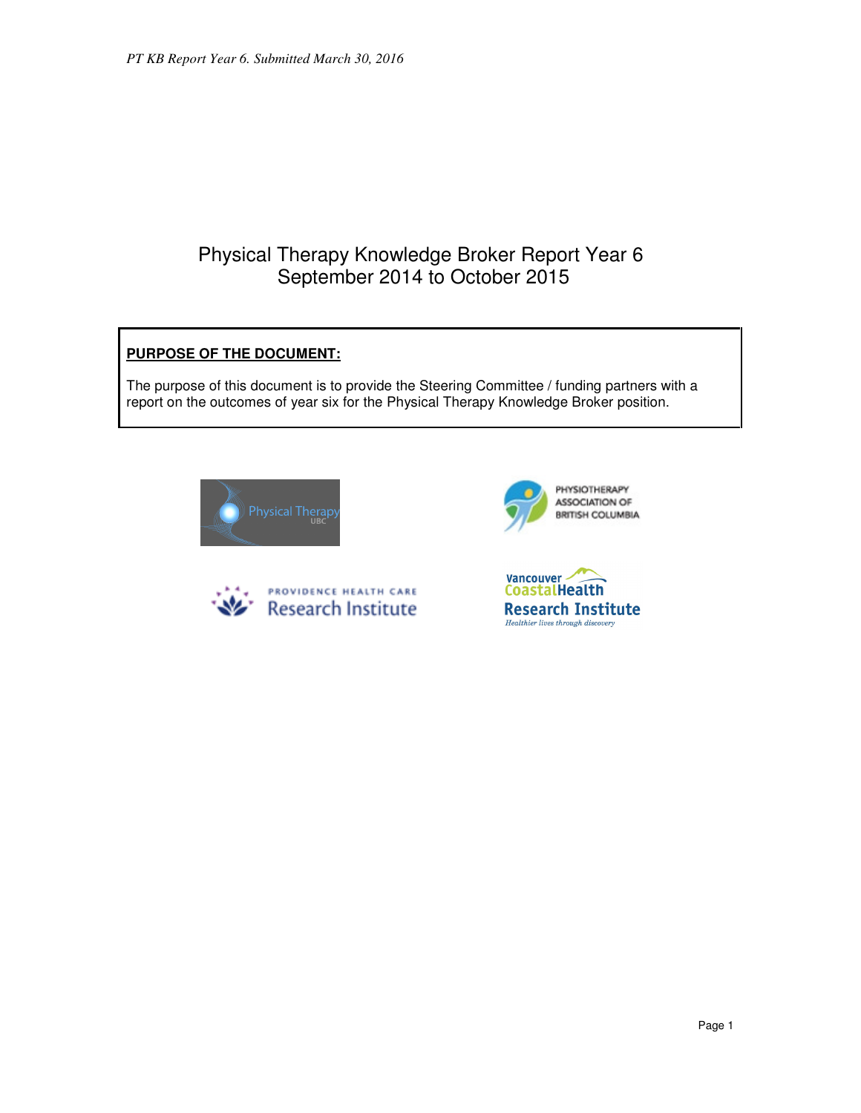# Physical Therapy Knowledge Broker Report Year 6 September 2014 to October 2015

# **PURPOSE OF THE DOCUMENT:**

The purpose of this document is to provide the Steering Committee / funding partners with a report on the outcomes of year six for the Physical Therapy Knowledge Broker position.







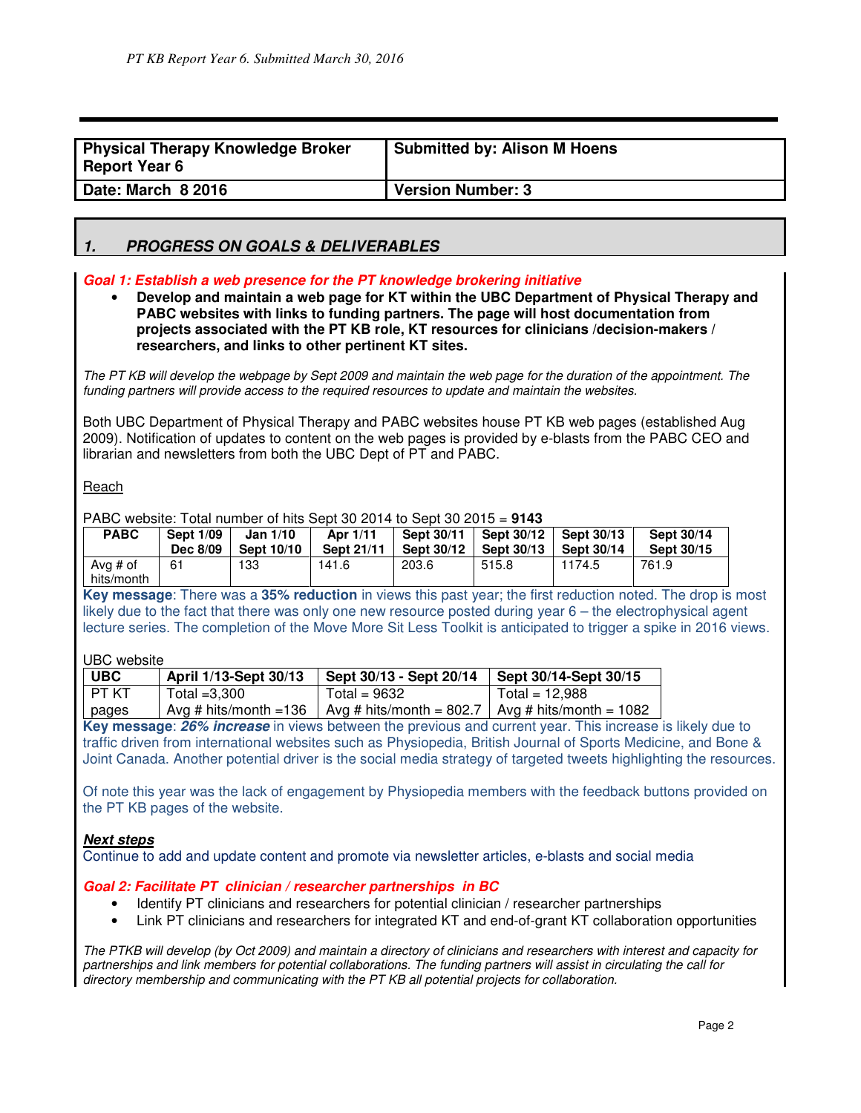| <b>Physical Therapy Knowledge Broker</b><br><b>Report Year 6</b> | <b>Submitted by: Alison M Hoens</b> |
|------------------------------------------------------------------|-------------------------------------|
| Date: March 8 2016                                               | <b>Version Number: 3</b>            |

# **1. PROGRESS ON GOALS & DELIVERABLES**

#### **Goal 1: Establish a web presence for the PT knowledge brokering initiative**

• **Develop and maintain a web page for KT within the UBC Department of Physical Therapy and PABC websites with links to funding partners. The page will host documentation from projects associated with the PT KB role, KT resources for clinicians /decision-makers / researchers, and links to other pertinent KT sites.**

The PT KB will develop the webpage by Sept 2009 and maintain the web page for the duration of the appointment. The funding partners will provide access to the required resources to update and maintain the websites.

Both UBC Department of Physical Therapy and PABC websites house PT KB web pages (established Aug 2009). Notification of updates to content on the web pages is provided by e-blasts from the PABC CEO and librarian and newsletters from both the UBC Dept of PT and PABC.

#### **Reach**

PABC website: Total number of hits Sept 30 2014 to Sept 30 2015 = **9143**

| <b>PABC</b>              | <b>Sept 1/09</b> | <b>Jan 1/10</b> | Apr 1/11   | Sept 30/11        | Sept 30/12        | Sept 30/13        | Sept 30/14 |
|--------------------------|------------------|-----------------|------------|-------------------|-------------------|-------------------|------------|
|                          | Dec 8/09         | Sept 10/10      | Sept 21/11 | <b>Sept 30/12</b> | <b>Sept 30/13</b> | <b>Sept 30/14</b> | Sept 30/15 |
| Ava $#$ of<br>hits/month | 61               | 133             | 141.6      | 203.6             | 515.8             | 1174.5            | 761.9      |

**Key message**: There was a **35% reduction** in views this past year; the first reduction noted. The drop is most likely due to the fact that there was only one new resource posted during year 6 – the electrophysical agent lecture series. The completion of the Move More Sit Less Toolkit is anticipated to trigger a spike in 2016 views.

#### UBC website

| <b>UBC</b> | April 1/13-Sept 30/13 | Sept 30/13 - Sept 20/14                                                     | Sept 30/14-Sept 30/15 |
|------------|-----------------------|-----------------------------------------------------------------------------|-----------------------|
| I PT KT    | Total $=3.300$        | Total = $9632$                                                              | Total = $12.988$      |
| pages      |                       | Avg # hits/month = 136   Avg # hits/month = 802.7   Avg # hits/month = 1082 |                       |

**Key message**: **26% increase** in views between the previous and current year. This increase is likely due to traffic driven from international websites such as Physiopedia, British Journal of Sports Medicine, and Bone & Joint Canada. Another potential driver is the social media strategy of targeted tweets highlighting the resources.

Of note this year was the lack of engagement by Physiopedia members with the feedback buttons provided on the PT KB pages of the website.

#### **Next steps**

Continue to add and update content and promote via newsletter articles, e-blasts and social media

#### **Goal 2: Facilitate PT clinician / researcher partnerships in BC**

- Identify PT clinicians and researchers for potential clinician / researcher partnerships
- Link PT clinicians and researchers for integrated KT and end-of-grant KT collaboration opportunities

The PTKB will develop (by Oct 2009) and maintain a directory of clinicians and researchers with interest and capacity for partnerships and link members for potential collaborations. The funding partners will assist in circulating the call for directory membership and communicating with the PT KB all potential projects for collaboration.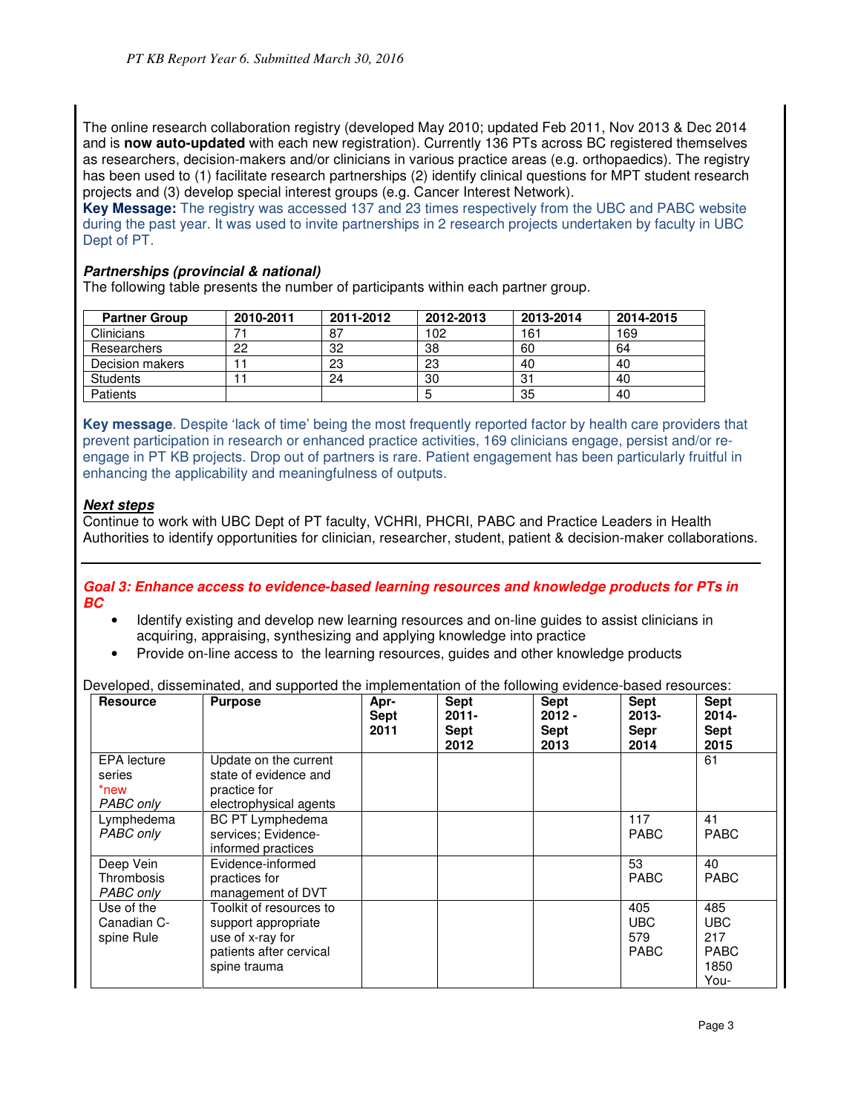The online research collaboration registry (developed May 2010; updated Feb 2011, Nov 2013 & Dec 2014 and is **now auto-updated** with each new registration). Currently 136 PTs across BC registered themselves as researchers, decision-makers and/or clinicians in various practice areas (e.g. orthopaedics). The registry has been used to (1) facilitate research partnerships (2) identify clinical questions for MPT student research projects and (3) develop special interest groups (e.g. Cancer Interest Network).

**Key Message:** The registry was accessed 137 and 23 times respectively from the UBC and PABC website during the past year. It was used to invite partnerships in 2 research projects undertaken by faculty in UBC Dept of PT.

### **Partnerships (provincial & national)**

The following table presents the number of participants within each partner group.

| <b>Partner Group</b> | 2010-2011 | 2011-2012 | 2012-2013 | 2013-2014 | 2014-2015 |
|----------------------|-----------|-----------|-----------|-----------|-----------|
| Clinicians           |           | -87       | 102       | 161       | 169       |
| Researchers          | 22        | 32        | 38        | 60        | 64        |
| Decision makers      |           | 23        | 23        | 40        | 40        |
| <b>Students</b>      |           | 24        | 30        | 31        | 40        |
| <b>Patients</b>      |           |           |           | 35        | 40        |

**Key message**. Despite 'lack of time' being the most frequently reported factor by health care providers that prevent participation in research or enhanced practice activities, 169 clinicians engage, persist and/or reengage in PT KB projects. Drop out of partners is rare. Patient engagement has been particularly fruitful in enhancing the applicability and meaningfulness of outputs.

#### **Next steps**

Continue to work with UBC Dept of PT faculty, VCHRI, PHCRI, PABC and Practice Leaders in Health Authorities to identify opportunities for clinician, researcher, student, patient & decision-maker collaborations.

**Goal 3: Enhance access to evidence-based learning resources and knowledge products for PTs in BC** 

- Identify existing and develop new learning resources and on-line guides to assist clinicians in acquiring, appraising, synthesizing and applying knowledge into practice
- Provide on-line access to the learning resources, guides and other knowledge products

|  | Developed, disseminated, and supported the implementation of the following evidence-based resources: |  |  |  |  |  |
|--|------------------------------------------------------------------------------------------------------|--|--|--|--|--|
|  |                                                                                                      |  |  |  |  |  |

| <b>Resource</b>                                   | <b>Purpose</b>                                                                                                | Apr-<br><b>Sept</b><br>2011 | Sept<br>$2011 -$<br>Sept<br>2012 | <b>Sept</b><br>$2012 -$<br><b>Sept</b><br>2013 | <b>Sept</b><br>$2013 -$<br><b>Sepr</b><br>2014 | <b>Sept</b><br>$2014 -$<br><b>Sept</b><br>2015          |
|---------------------------------------------------|---------------------------------------------------------------------------------------------------------------|-----------------------------|----------------------------------|------------------------------------------------|------------------------------------------------|---------------------------------------------------------|
| <b>EPA</b> lecture<br>series<br>*new<br>PABC only | Update on the current<br>state of evidence and<br>practice for<br>electrophysical agents                      |                             |                                  |                                                |                                                | 61                                                      |
| Lymphedema<br>PABC only                           | <b>BC PT Lymphedema</b><br>services; Evidence-<br>informed practices                                          |                             |                                  |                                                | 117<br><b>PABC</b>                             | 41<br><b>PABC</b>                                       |
| Deep Vein<br>Thrombosis<br>PABC only              | Evidence-informed<br>practices for<br>management of DVT                                                       |                             |                                  |                                                | 53<br><b>PABC</b>                              | 40<br><b>PABC</b>                                       |
| Use of the<br>Canadian C-<br>spine Rule           | Toolkit of resources to<br>support appropriate<br>use of x-ray for<br>patients after cervical<br>spine trauma |                             |                                  |                                                | 405<br><b>UBC</b><br>579<br><b>PABC</b>        | 485<br><b>UBC</b><br>217<br><b>PABC</b><br>1850<br>You- |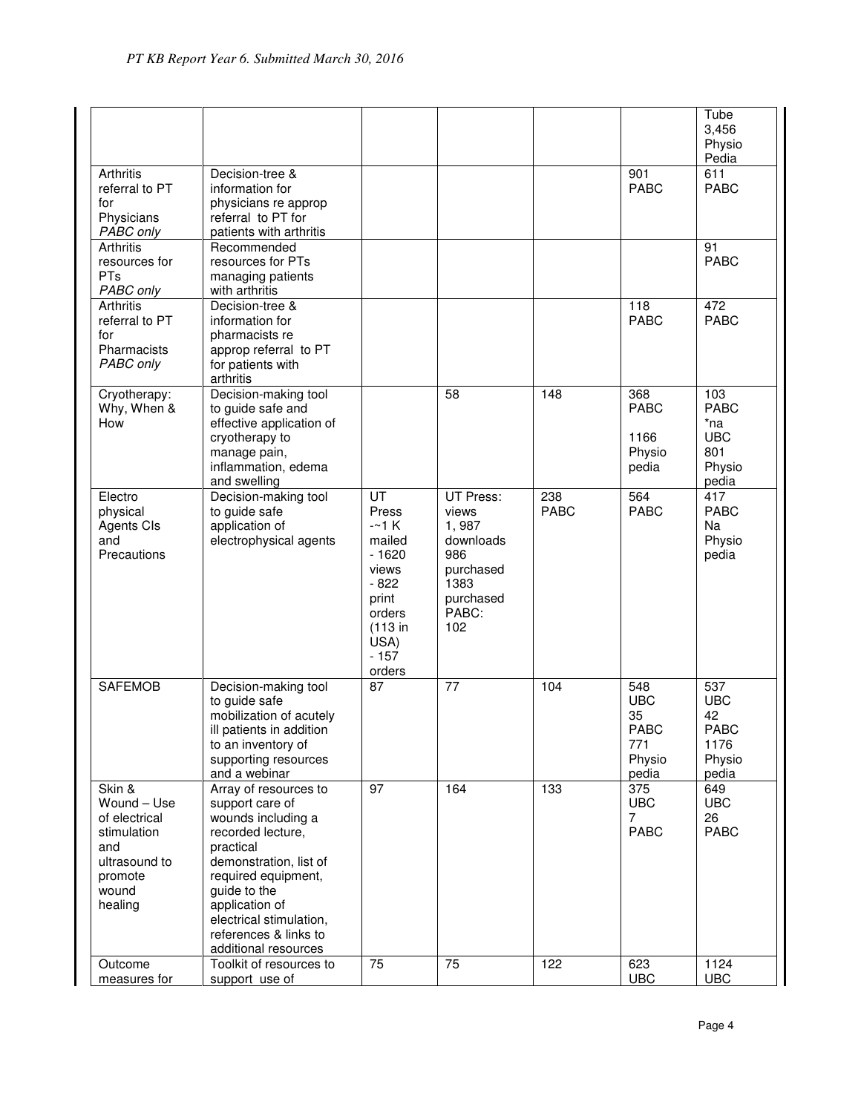|                                                                                                              |                                                                                                                                                                                                                                                                 |                                                                                                                         |                                                                                                          |                    |                                                           | Tube<br>3,456<br>Physio<br>Pedia                                  |
|--------------------------------------------------------------------------------------------------------------|-----------------------------------------------------------------------------------------------------------------------------------------------------------------------------------------------------------------------------------------------------------------|-------------------------------------------------------------------------------------------------------------------------|----------------------------------------------------------------------------------------------------------|--------------------|-----------------------------------------------------------|-------------------------------------------------------------------|
| Arthritis<br>referral to PT<br>for<br>Physicians<br>PABC only                                                | Decision-tree &<br>information for<br>physicians re approp<br>referral to PT for<br>patients with arthritis                                                                                                                                                     |                                                                                                                         |                                                                                                          |                    | 901<br><b>PABC</b>                                        | 611<br><b>PABC</b>                                                |
| Arthritis<br>resources for<br>PTs<br>PABC only                                                               | Recommended<br>resources for PTs<br>managing patients<br>with arthritis                                                                                                                                                                                         |                                                                                                                         |                                                                                                          |                    |                                                           | 91<br><b>PABC</b>                                                 |
| <b>Arthritis</b><br>referral to PT<br>for<br>Pharmacists<br>PABC only                                        | Decision-tree &<br>information for<br>pharmacists re<br>approp referral to PT<br>for patients with<br>arthritis                                                                                                                                                 |                                                                                                                         |                                                                                                          |                    | 118<br><b>PABC</b>                                        | 472<br><b>PABC</b>                                                |
| Cryotherapy:<br>Why, When &<br>How                                                                           | Decision-making tool<br>to guide safe and<br>effective application of<br>cryotherapy to<br>manage pain,<br>inflammation, edema<br>and swelling                                                                                                                  |                                                                                                                         | 58                                                                                                       | 148                | 368<br><b>PABC</b><br>1166<br>Physio<br>pedia             | 103<br><b>PABC</b><br>*na<br><b>UBC</b><br>801<br>Physio<br>pedia |
| Electro<br>physical<br><b>Agents CIs</b><br>and<br>Precautions                                               | Decision-making tool<br>to guide safe<br>application of<br>electrophysical agents                                                                                                                                                                               | UT<br>Press<br>$-1$ K<br>mailed<br>$-1620$<br>views<br>$-822$<br>print<br>orders<br>(113 in<br>USA)<br>$-157$<br>orders | <b>UT Press:</b><br>views<br>1,987<br>downloads<br>986<br>purchased<br>1383<br>purchased<br>PABC:<br>102 | 238<br><b>PABC</b> | 564<br><b>PABC</b>                                        | 417<br><b>PABC</b><br>Na<br>Physio<br>pedia                       |
| <b>SAFEMOB</b>                                                                                               | Decision-making tool<br>to guide safe<br>mobilization of acutely<br>ill patients in addition<br>to an inventory of<br>supporting resources<br>and a webinar                                                                                                     | $\overline{87}$                                                                                                         | 77                                                                                                       | 104                | 548<br><b>UBC</b><br>35<br>PABC<br>771<br>Physio<br>pedia | 537<br><b>UBC</b><br>42<br>PABC<br>1176<br>Physio<br>pedia        |
| Skin &<br>Wound - Use<br>of electrical<br>stimulation<br>and<br>ultrasound to<br>promote<br>wound<br>healing | Array of resources to<br>support care of<br>wounds including a<br>recorded lecture,<br>practical<br>demonstration, list of<br>required equipment,<br>guide to the<br>application of<br>electrical stimulation,<br>references & links to<br>additional resources | 97                                                                                                                      | 164                                                                                                      | 133                | 375<br><b>UBC</b><br>$\overline{7}$<br><b>PABC</b>        | 649<br><b>UBC</b><br>26<br><b>PABC</b>                            |
| Outcome<br>measures for                                                                                      | Toolkit of resources to<br>support use of                                                                                                                                                                                                                       | 75                                                                                                                      | 75                                                                                                       | 122                | 623<br><b>UBC</b>                                         | 1124<br><b>UBC</b>                                                |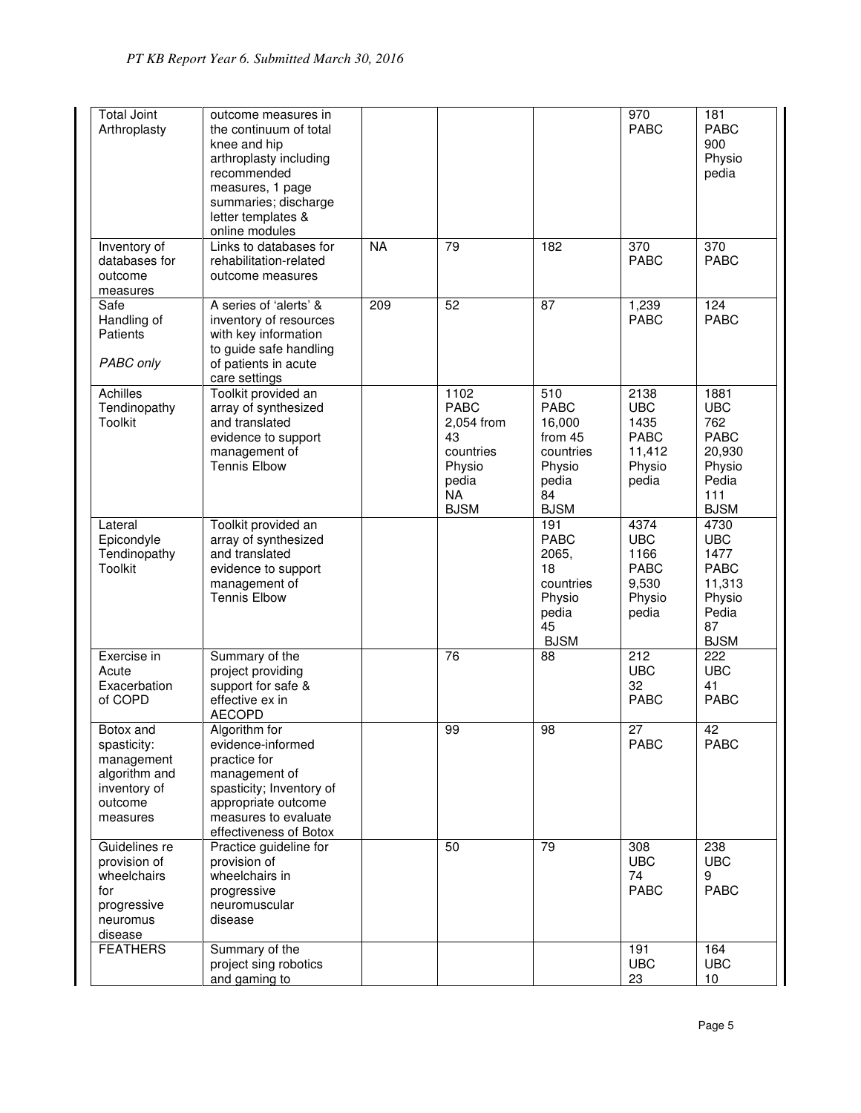| <b>Total Joint</b><br>Arthroplasty                                                             | outcome measures in<br>the continuum of total<br>knee and hip<br>arthroplasty including<br>recommended<br>measures, 1 page<br>summaries; discharge<br>letter templates &<br>online modules |           |                                                                                                     |                                                                                              | $\overline{970}$<br><b>PABC</b>                                        | 181<br><b>PABC</b><br>900<br>Physio<br>pedia                                                |
|------------------------------------------------------------------------------------------------|--------------------------------------------------------------------------------------------------------------------------------------------------------------------------------------------|-----------|-----------------------------------------------------------------------------------------------------|----------------------------------------------------------------------------------------------|------------------------------------------------------------------------|---------------------------------------------------------------------------------------------|
| Inventory of<br>databases for<br>outcome<br>measures                                           | Links to databases for<br>rehabilitation-related<br>outcome measures                                                                                                                       | <b>NA</b> | 79                                                                                                  | 182                                                                                          | 370<br><b>PABC</b>                                                     | $\overline{370}$<br><b>PABC</b>                                                             |
| Safe<br>Handling of<br>Patients<br>PABC only                                                   | A series of 'alerts' &<br>inventory of resources<br>with key information<br>to guide safe handling<br>of patients in acute<br>care settings                                                | 209       | 52                                                                                                  | 87                                                                                           | 1,239<br><b>PABC</b>                                                   | 124<br><b>PABC</b>                                                                          |
| <b>Achilles</b><br>Tendinopathy<br>Toolkit                                                     | Toolkit provided an<br>array of synthesized<br>and translated<br>evidence to support<br>management of<br><b>Tennis Elbow</b>                                                               |           | 1102<br><b>PABC</b><br>2,054 from<br>43<br>countries<br>Physio<br>pedia<br><b>NA</b><br><b>BJSM</b> | 510<br><b>PABC</b><br>16,000<br>from 45<br>countries<br>Physio<br>pedia<br>84<br><b>BJSM</b> | 2138<br><b>UBC</b><br>1435<br><b>PABC</b><br>11,412<br>Physio<br>pedia | 1881<br><b>UBC</b><br>762<br><b>PABC</b><br>20,930<br>Physio<br>Pedia<br>111<br><b>BJSM</b> |
| Lateral<br>Epicondyle<br>Tendinopathy<br>Toolkit                                               | Toolkit provided an<br>array of synthesized<br>and translated<br>evidence to support<br>management of<br><b>Tennis Elbow</b>                                                               |           |                                                                                                     | 191<br><b>PABC</b><br>2065,<br>18<br>countries<br>Physio<br>pedia<br>45<br><b>BJSM</b>       | 4374<br><b>UBC</b><br>1166<br><b>PABC</b><br>9,530<br>Physio<br>pedia  | 4730<br><b>UBC</b><br>1477<br><b>PABC</b><br>11,313<br>Physio<br>Pedia<br>87<br><b>BJSM</b> |
| Exercise in<br>Acute<br>Exacerbation<br>of COPD                                                | Summary of the<br>project providing<br>support for safe &<br>effective ex in<br><b>AECOPD</b>                                                                                              |           | 76                                                                                                  | 88                                                                                           | $\overline{212}$<br><b>UBC</b><br>32<br><b>PABC</b>                    | $\overline{222}$<br><b>UBC</b><br>41<br><b>PABC</b>                                         |
| Botox and<br>spasticity:<br>management<br>algorithm and<br>inventory of<br>outcome<br>measures | Algorithm for<br>evidence-informed<br>practice for<br>management of<br>spasticity; Inventory of<br>appropriate outcome<br>measures to evaluate<br>effectiveness of Botox                   |           | 99                                                                                                  | 98                                                                                           | 27<br><b>PABC</b>                                                      | 42<br><b>PABC</b>                                                                           |
| Guidelines re<br>provision of<br>wheelchairs<br>for<br>progressive<br>neuromus<br>disease      | Practice guideline for<br>provision of<br>wheelchairs in<br>progressive<br>neuromuscular<br>disease                                                                                        |           | 50                                                                                                  | 79                                                                                           | 308<br><b>UBC</b><br>74<br><b>PABC</b>                                 | 238<br><b>UBC</b><br>9<br><b>PABC</b>                                                       |
| <b>FEATHERS</b>                                                                                | Summary of the<br>project sing robotics<br>and gaming to                                                                                                                                   |           |                                                                                                     |                                                                                              | 191<br><b>UBC</b><br>23                                                | 164<br><b>UBC</b><br>10                                                                     |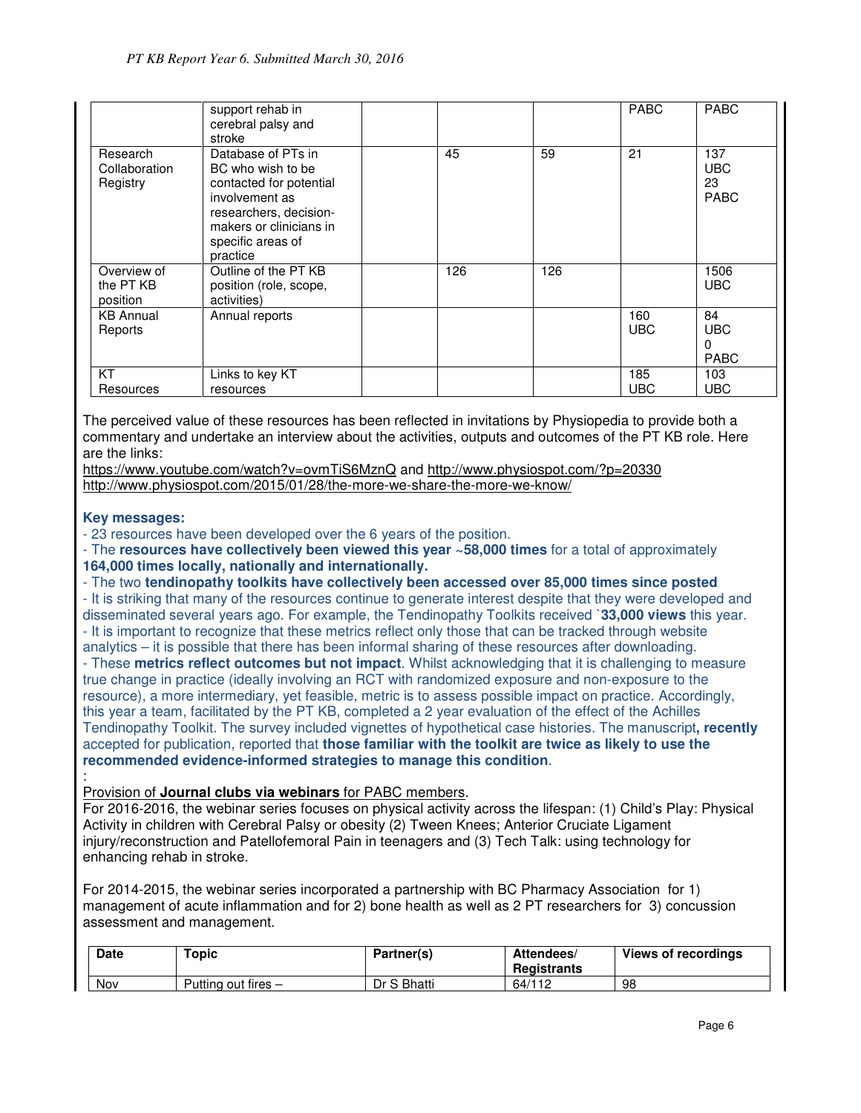|                                       | support rehab in<br>cerebral palsy and<br>stroke                                                                                                                           |     |     | <b>PABC</b>       | <b>PABC</b>                            |
|---------------------------------------|----------------------------------------------------------------------------------------------------------------------------------------------------------------------------|-----|-----|-------------------|----------------------------------------|
| Research<br>Collaboration<br>Registry | Database of PTs in<br>BC who wish to be<br>contacted for potential<br>involvement as<br>researchers, decision-<br>makers or clinicians in<br>specific areas of<br>practice | 45  | 59  | 21                | 137<br><b>UBC</b><br>23<br><b>PABC</b> |
| Overview of<br>the PT KB<br>position  | Outline of the PT KB<br>position (role, scope,<br>activities)                                                                                                              | 126 | 126 |                   | 1506<br><b>UBC</b>                     |
| <b>KB Annual</b><br>Reports           | Annual reports                                                                                                                                                             |     |     | 160<br><b>UBC</b> | 84<br><b>UBC</b><br>0<br><b>PABC</b>   |
| KT<br>Resources                       | Links to key KT<br>resources                                                                                                                                               |     |     | 185<br><b>UBC</b> | 103<br>UBC                             |

The perceived value of these resources has been reflected in invitations by Physiopedia to provide both a commentary and undertake an interview about the activities, outputs and outcomes of the PT KB role. Here are the links:

https://www.youtube.com/watch?v=ovmTiS6MznQ and http://www.physiospot.com/?p=20330 http://www.physiospot.com/2015/01/28/the-more-we-share-the-more-we-know/

#### **Key messages:**

- 23 resources have been developed over the 6 years of the position.

- The **resources have collectively been viewed this year ~58,000 times** for a total of approximately **164,000 times locally, nationally and internationally.**

- The two **tendinopathy toolkits have collectively been accessed over 85,000 times since posted**  - It is striking that many of the resources continue to generate interest despite that they were developed and disseminated several years ago. For example, the Tendinopathy Toolkits received `**33,000 views** this year. - It is important to recognize that these metrics reflect only those that can be tracked through website

analytics – it is possible that there has been informal sharing of these resources after downloading. - These **metrics reflect outcomes but not impact**. Whilst acknowledging that it is challenging to measure true change in practice (ideally involving an RCT with randomized exposure and non-exposure to the resource), a more intermediary, yet feasible, metric is to assess possible impact on practice. Accordingly, this year a team, facilitated by the PT KB, completed a 2 year evaluation of the effect of the Achilles Tendinopathy Toolkit. The survey included vignettes of hypothetical case histories. The manuscript**, recently**  accepted for publication, reported that **those familiar with the toolkit are twice as likely to use the recommended evidence-informed strategies to manage this condition**.

#### : Provision of **Journal clubs via webinars** for PABC members.

For 2016-2016, the webinar series focuses on physical activity across the lifespan: (1) Child's Play: Physical Activity in children with Cerebral Palsy or obesity (2) Tween Knees; Anterior Cruciate Ligament injury/reconstruction and Patellofemoral Pain in teenagers and (3) Tech Talk: using technology for enhancing rehab in stroke.

For 2014-2015, the webinar series incorporated a partnership with BC Pharmacy Association for 1) management of acute inflammation and for 2) bone health as well as 2 PT researchers for 3) concussion assessment and management.

| <b>Date</b> | Topic               | Partner(s)  | Attendees/<br>Registrants | Views of recordings |
|-------------|---------------------|-------------|---------------------------|---------------------|
| Nov         | Putting out fires - | Dr S Bhatti | 64/112                    | 98                  |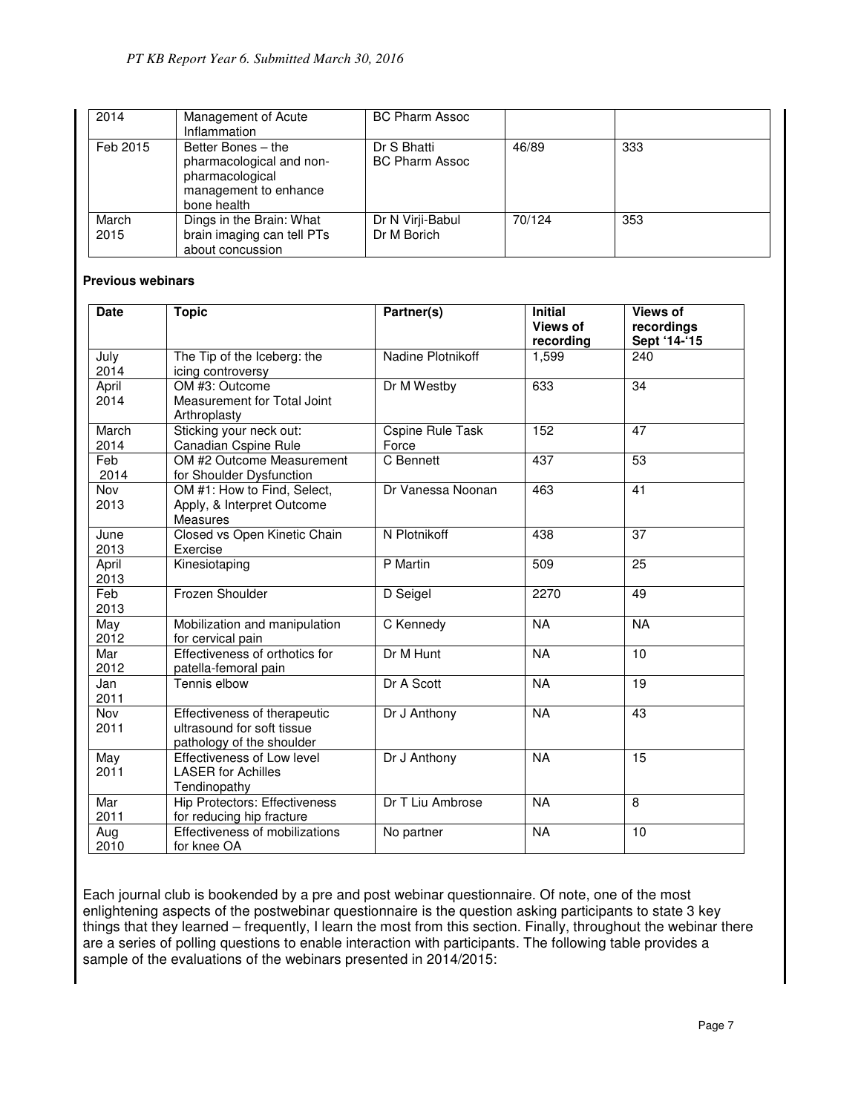| 2014          | Management of Acute<br>Inflammation                                                                       | <b>BC Pharm Assoc</b>                |        |     |
|---------------|-----------------------------------------------------------------------------------------------------------|--------------------------------------|--------|-----|
| Feb 2015      | Better Bones - the<br>pharmacological and non-<br>pharmacological<br>management to enhance<br>bone health | Dr S Bhatti<br><b>BC Pharm Assoc</b> | 46/89  | 333 |
| March<br>2015 | Dings in the Brain: What<br>brain imaging can tell PTs<br>about concussion                                | Dr N Virji-Babul<br>Dr M Borich      | 70/124 | 353 |

#### **Previous webinars**

| <b>Date</b>   | <b>Topic</b>                                                                            | Partner(s)                       | <b>Initial</b><br><b>Views of</b><br>recording | <b>Views of</b><br>recordings<br>Sept '14-'15 |
|---------------|-----------------------------------------------------------------------------------------|----------------------------------|------------------------------------------------|-----------------------------------------------|
| July<br>2014  | The Tip of the Iceberg: the<br>icing controversy                                        | Nadine Plotnikoff                | 1,599                                          | 240                                           |
| April<br>2014 | OM #3: Outcome<br>Measurement for Total Joint<br>Arthroplasty                           | Dr M Westby                      | 633                                            | 34                                            |
| March<br>2014 | Sticking your neck out:<br>Canadian Cspine Rule                                         | <b>Cspine Rule Task</b><br>Force | 152                                            | 47                                            |
| Feb<br>2014   | OM #2 Outcome Measurement<br>for Shoulder Dysfunction                                   | C Bennett                        | 437                                            | 53                                            |
| Nov<br>2013   | OM #1: How to Find, Select,<br>Apply, & Interpret Outcome<br>Measures                   | Dr Vanessa Noonan                | 463                                            | 41                                            |
| June<br>2013  | Closed vs Open Kinetic Chain<br>Exercise                                                | N Plotnikoff                     | 438                                            | 37                                            |
| April<br>2013 | Kinesiotaping                                                                           | P Martin                         | 509                                            | $\overline{25}$                               |
| Feb<br>2013   | Frozen Shoulder                                                                         | D Seigel                         | 2270                                           | 49                                            |
| May<br>2012   | Mobilization and manipulation<br>for cervical pain                                      | C Kennedy                        | <b>NA</b>                                      | <b>NA</b>                                     |
| Mar<br>2012   | Effectiveness of orthotics for<br>patella-femoral pain                                  | Dr M Hunt                        | <b>NA</b>                                      | 10                                            |
| Jan<br>2011   | Tennis elbow                                                                            | Dr A Scott                       | <b>NA</b>                                      | 19                                            |
| Nov<br>2011   | Effectiveness of therapeutic<br>ultrasound for soft tissue<br>pathology of the shoulder | Dr J Anthony                     | <b>NA</b>                                      | 43                                            |
| May<br>2011   | Effectiveness of Low level<br><b>LASER for Achilles</b><br>Tendinopathy                 | Dr J Anthony                     | <b>NA</b>                                      | $\overline{15}$                               |
| Mar<br>2011   | <b>Hip Protectors: Effectiveness</b><br>for reducing hip fracture                       | Dr T Liu Ambrose                 | <b>NA</b>                                      | 8                                             |
| Aug<br>2010   | Effectiveness of mobilizations<br>for knee OA                                           | No partner                       | <b>NA</b>                                      | 10                                            |

Each journal club is bookended by a pre and post webinar questionnaire. Of note, one of the most enlightening aspects of the postwebinar questionnaire is the question asking participants to state 3 key things that they learned – frequently, I learn the most from this section. Finally, throughout the webinar there are a series of polling questions to enable interaction with participants. The following table provides a sample of the evaluations of the webinars presented in 2014/2015: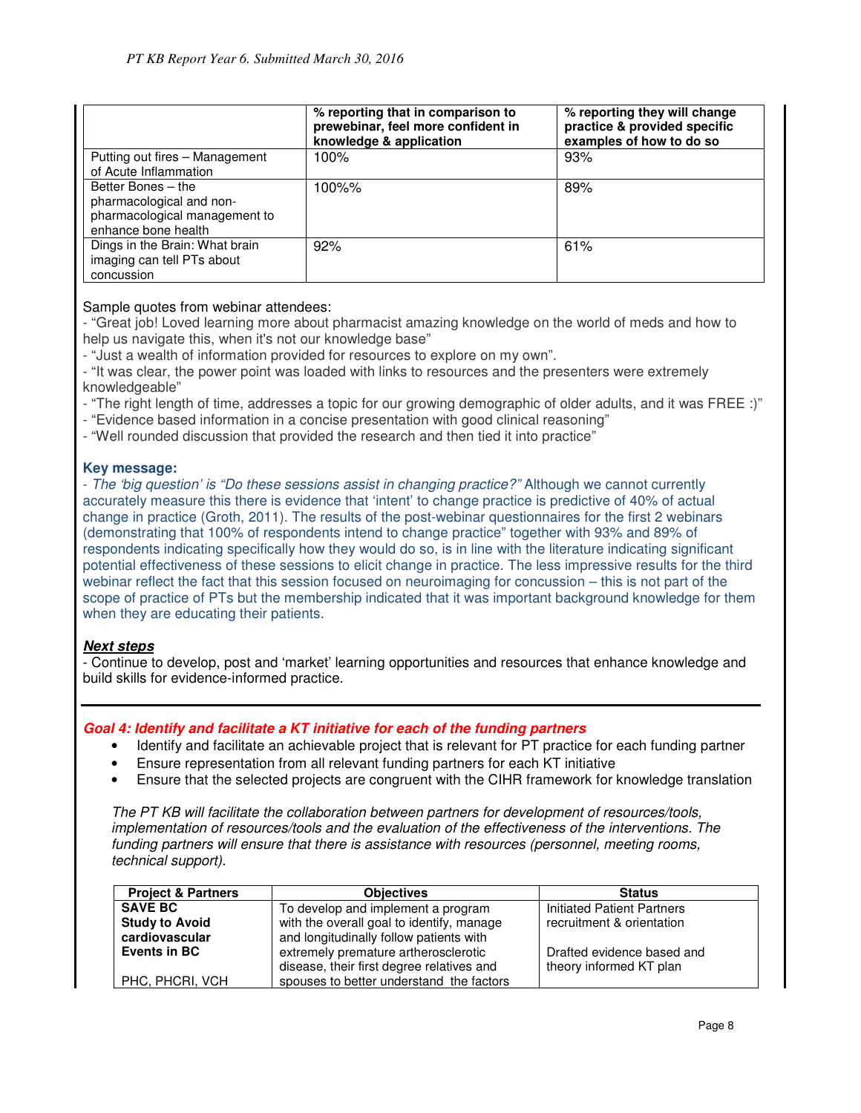|                                                                                                        | % reporting that in comparison to<br>prewebinar, feel more confident in<br>knowledge & application | % reporting they will change<br>practice & provided specific<br>examples of how to do so |
|--------------------------------------------------------------------------------------------------------|----------------------------------------------------------------------------------------------------|------------------------------------------------------------------------------------------|
| Putting out fires - Management<br>of Acute Inflammation                                                | $100\%$                                                                                            | 93%                                                                                      |
| Better Bones - the<br>pharmacological and non-<br>pharmacological management to<br>enhance bone health | 100%%                                                                                              | 89%                                                                                      |
| Dings in the Brain: What brain<br>imaging can tell PTs about<br>concussion                             | 92%                                                                                                | 61%                                                                                      |

#### Sample quotes from webinar attendees:

- "Great job! Loved learning more about pharmacist amazing knowledge on the world of meds and how to help us navigate this, when it's not our knowledge base"

- "Just a wealth of information provided for resources to explore on my own".

- "It was clear, the power point was loaded with links to resources and the presenters were extremely knowledgeable"

- "The right length of time, addresses a topic for our growing demographic of older adults, and it was FREE :)"
- "Evidence based information in a concise presentation with good clinical reasoning"
- "Well rounded discussion that provided the research and then tied it into practice"

#### **Key message:**

- The 'big question' is "Do these sessions assist in changing practice?" Although we cannot currently accurately measure this there is evidence that 'intent' to change practice is predictive of 40% of actual change in practice (Groth, 2011). The results of the post-webinar questionnaires for the first 2 webinars (demonstrating that 100% of respondents intend to change practice" together with 93% and 89% of respondents indicating specifically how they would do so, is in line with the literature indicating significant potential effectiveness of these sessions to elicit change in practice. The less impressive results for the third webinar reflect the fact that this session focused on neuroimaging for concussion – this is not part of the scope of practice of PTs but the membership indicated that it was important background knowledge for them when they are educating their patients.

#### **Next steps**

- Continue to develop, post and 'market' learning opportunities and resources that enhance knowledge and build skills for evidence-informed practice.

#### **Goal 4: Identify and facilitate a KT initiative for each of the funding partners**

- Identify and facilitate an achievable project that is relevant for PT practice for each funding partner
- Ensure representation from all relevant funding partners for each KT initiative
- Ensure that the selected projects are congruent with the CIHR framework for knowledge translation

The PT KB will facilitate the collaboration between partners for development of resources/tools, implementation of resources/tools and the evaluation of the effectiveness of the interventions. The funding partners will ensure that there is assistance with resources (personnel, meeting rooms, technical support).

| <b>Project &amp; Partners</b>                        | <b>Objectives</b>                         | <b>Status</b>              |
|------------------------------------------------------|-------------------------------------------|----------------------------|
| To develop and implement a program<br><b>SAVE BC</b> |                                           | Initiated Patient Partners |
| <b>Study to Avoid</b>                                | with the overall goal to identify, manage | recruitment & orientation  |
| cardiovascular                                       | and longitudinally follow patients with   |                            |
| Events in BC                                         | extremely premature artherosclerotic      | Drafted evidence based and |
|                                                      | disease, their first degree relatives and | theory informed KT plan    |
| PHC, PHCRI, VCH                                      | spouses to better understand the factors  |                            |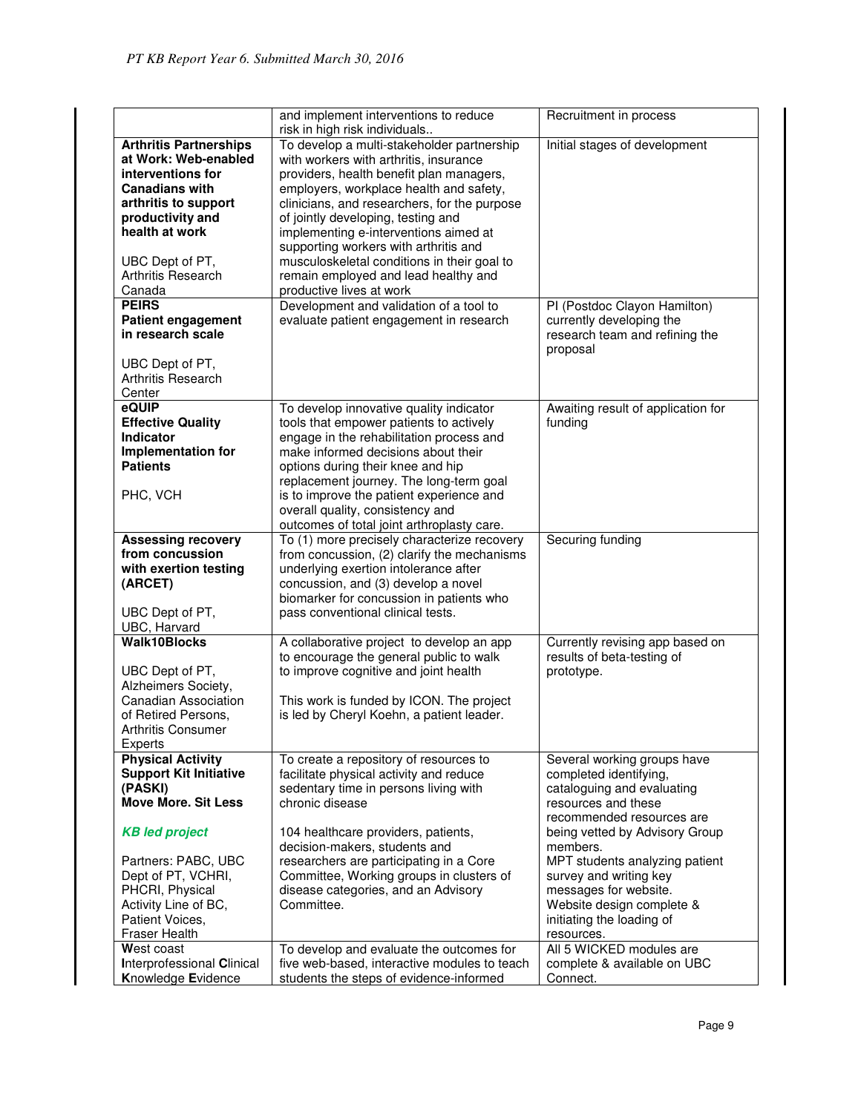|                                                           | and implement interventions to reduce                                                      | Recruitment in process                               |
|-----------------------------------------------------------|--------------------------------------------------------------------------------------------|------------------------------------------------------|
|                                                           | risk in high risk individuals                                                              |                                                      |
| <b>Arthritis Partnerships</b>                             | To develop a multi-stakeholder partnership                                                 | Initial stages of development                        |
| at Work: Web-enabled                                      | with workers with arthritis, insurance                                                     |                                                      |
| interventions for                                         | providers, health benefit plan managers,                                                   |                                                      |
| <b>Canadians with</b>                                     | employers, workplace health and safety,                                                    |                                                      |
| arthritis to support                                      | clinicians, and researchers, for the purpose                                               |                                                      |
| productivity and<br>health at work                        | of jointly developing, testing and                                                         |                                                      |
|                                                           | implementing e-interventions aimed at                                                      |                                                      |
|                                                           | supporting workers with arthritis and<br>musculoskeletal conditions in their goal to       |                                                      |
| UBC Dept of PT,<br>Arthritis Research                     | remain employed and lead healthy and                                                       |                                                      |
| Canada                                                    | productive lives at work                                                                   |                                                      |
| <b>PEIRS</b>                                              | Development and validation of a tool to                                                    | PI (Postdoc Clayon Hamilton)                         |
| <b>Patient engagement</b>                                 | evaluate patient engagement in research                                                    | currently developing the                             |
| in research scale                                         |                                                                                            | research team and refining the                       |
|                                                           |                                                                                            | proposal                                             |
| UBC Dept of PT,                                           |                                                                                            |                                                      |
| Arthritis Research                                        |                                                                                            |                                                      |
| Center                                                    |                                                                                            |                                                      |
| eQUIP                                                     | To develop innovative quality indicator                                                    | Awaiting result of application for                   |
| <b>Effective Quality</b>                                  | tools that empower patients to actively                                                    | funding                                              |
| Indicator                                                 | engage in the rehabilitation process and                                                   |                                                      |
| Implementation for                                        | make informed decisions about their                                                        |                                                      |
| <b>Patients</b>                                           | options during their knee and hip                                                          |                                                      |
|                                                           | replacement journey. The long-term goal                                                    |                                                      |
| PHC, VCH                                                  | is to improve the patient experience and                                                   |                                                      |
|                                                           | overall quality, consistency and                                                           |                                                      |
|                                                           | outcomes of total joint arthroplasty care.                                                 |                                                      |
| <b>Assessing recovery</b><br>from concussion              | To (1) more precisely characterize recovery<br>from concussion, (2) clarify the mechanisms | Securing funding                                     |
| with exertion testing                                     | underlying exertion intolerance after                                                      |                                                      |
| (ARCET)                                                   | concussion, and (3) develop a novel                                                        |                                                      |
|                                                           | biomarker for concussion in patients who                                                   |                                                      |
| UBC Dept of PT,                                           | pass conventional clinical tests.                                                          |                                                      |
| UBC, Harvard                                              |                                                                                            |                                                      |
| <b>Walk10Blocks</b>                                       | A collaborative project to develop an app                                                  | Currently revising app based on                      |
|                                                           | to encourage the general public to walk                                                    | results of beta-testing of                           |
| UBC Dept of PT,                                           | to improve cognitive and joint health                                                      | prototype.                                           |
| Alzheimers Society,                                       |                                                                                            |                                                      |
| <b>Canadian Association</b>                               | This work is funded by ICON. The project                                                   |                                                      |
| of Retired Persons,                                       | is led by Cheryl Koehn, a patient leader.                                                  |                                                      |
| Arthritis Consumer                                        |                                                                                            |                                                      |
| Experts                                                   |                                                                                            |                                                      |
| <b>Physical Activity</b><br><b>Support Kit Initiative</b> | To create a repository of resources to                                                     | Several working groups have                          |
| (PASKI)                                                   | facilitate physical activity and reduce<br>sedentary time in persons living with           | completed identifying,<br>cataloguing and evaluating |
| <b>Move More. Sit Less</b>                                | chronic disease                                                                            | resources and these                                  |
|                                                           |                                                                                            | recommended resources are                            |
| <b>KB led project</b>                                     | 104 healthcare providers, patients,                                                        | being vetted by Advisory Group                       |
|                                                           | decision-makers, students and                                                              | members.                                             |
| Partners: PABC, UBC                                       | researchers are participating in a Core                                                    | MPT students analyzing patient                       |
| Dept of PT, VCHRI,                                        | Committee, Working groups in clusters of                                                   | survey and writing key                               |
| PHCRI, Physical                                           | disease categories, and an Advisory                                                        | messages for website.                                |
| Activity Line of BC,                                      | Committee.                                                                                 | Website design complete &                            |
| Patient Voices,                                           |                                                                                            | initiating the loading of                            |
| <b>Fraser Health</b>                                      |                                                                                            | resources.                                           |
| West coast                                                | To develop and evaluate the outcomes for                                                   | All 5 WICKED modules are                             |
| <b>Interprofessional Clinical</b>                         | five web-based, interactive modules to teach                                               | complete & available on UBC                          |
| Knowledge Evidence                                        | students the steps of evidence-informed                                                    | Connect.                                             |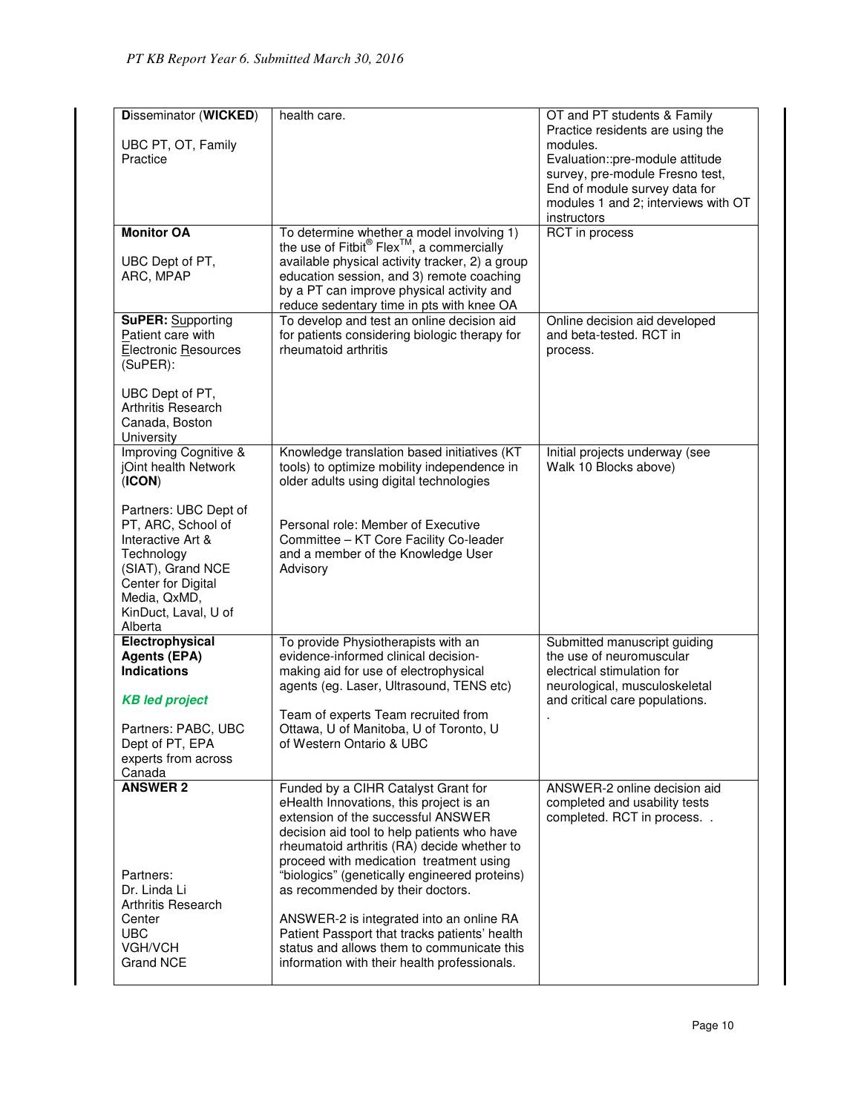| <b>Disseminator (WICKED)</b>                | health care.                                                                                       | OT and PT students & Family                                      |
|---------------------------------------------|----------------------------------------------------------------------------------------------------|------------------------------------------------------------------|
|                                             |                                                                                                    | Practice residents are using the                                 |
| UBC PT, OT, Family                          |                                                                                                    | modules.                                                         |
| Practice                                    |                                                                                                    | Evaluation::pre-module attitude                                  |
|                                             |                                                                                                    | survey, pre-module Fresno test,<br>End of module survey data for |
|                                             |                                                                                                    | modules 1 and 2; interviews with OT                              |
|                                             |                                                                                                    | instructors                                                      |
| <b>Monitor OA</b>                           |                                                                                                    | RCT in process                                                   |
|                                             | To determine whether a model involving 1)<br>the use of Fitbit® Flex <sup>™</sup> , a commercially |                                                                  |
| UBC Dept of PT,                             | available physical activity tracker, 2) a group                                                    |                                                                  |
| ARC, MPAP                                   | education session, and 3) remote coaching                                                          |                                                                  |
|                                             | by a PT can improve physical activity and                                                          |                                                                  |
| <b>SuPER: Supporting</b>                    | reduce sedentary time in pts with knee OA<br>To develop and test an online decision aid            | Online decision aid developed                                    |
| Patient care with                           | for patients considering biologic therapy for                                                      | and beta-tested. RCT in                                          |
| <b>Electronic Resources</b>                 | rheumatoid arthritis                                                                               | process.                                                         |
| (SuPER):                                    |                                                                                                    |                                                                  |
|                                             |                                                                                                    |                                                                  |
| UBC Dept of PT,                             |                                                                                                    |                                                                  |
| Arthritis Research<br>Canada, Boston        |                                                                                                    |                                                                  |
| University                                  |                                                                                                    |                                                                  |
| <b>Improving Cognitive &amp;</b>            | Knowledge translation based initiatives (KT                                                        | Initial projects underway (see                                   |
| jOint health Network                        | tools) to optimize mobility independence in                                                        | Walk 10 Blocks above)                                            |
| (ICON)                                      | older adults using digital technologies                                                            |                                                                  |
|                                             |                                                                                                    |                                                                  |
| Partners: UBC Dept of<br>PT, ARC, School of | Personal role: Member of Executive                                                                 |                                                                  |
| Interactive Art &                           | Committee - KT Core Facility Co-leader                                                             |                                                                  |
| Technology                                  | and a member of the Knowledge User                                                                 |                                                                  |
| (SIAT), Grand NCE                           | Advisory                                                                                           |                                                                  |
| Center for Digital                          |                                                                                                    |                                                                  |
| Media, QxMD,                                |                                                                                                    |                                                                  |
| KinDuct, Laval, U of                        |                                                                                                    |                                                                  |
| Alberta<br>Electrophysical                  | To provide Physiotherapists with an                                                                | Submitted manuscript guiding                                     |
| <b>Agents (EPA)</b>                         | evidence-informed clinical decision-                                                               | the use of neuromuscular                                         |
| <b>Indications</b>                          | making aid for use of electrophysical                                                              | electrical stimulation for                                       |
|                                             | agents (eg. Laser, Ultrasound, TENS etc)                                                           | neurological, musculoskeletal                                    |
| <b>KB led project</b>                       |                                                                                                    | and critical care populations.                                   |
|                                             | Team of experts Team recruited from                                                                |                                                                  |
| Partners: PABC, UBC<br>Dept of PT, EPA      | Ottawa, U of Manitoba, U of Toronto, U<br>of Western Ontario & UBC                                 |                                                                  |
| experts from across                         |                                                                                                    |                                                                  |
| Canada                                      |                                                                                                    |                                                                  |
| <b>ANSWER 2</b>                             | Funded by a CIHR Catalyst Grant for                                                                | ANSWER-2 online decision aid                                     |
|                                             | eHealth Innovations, this project is an                                                            | completed and usability tests                                    |
|                                             | extension of the successful ANSWER                                                                 | completed. RCT in process                                        |
|                                             | decision aid tool to help patients who have<br>rheumatoid arthritis (RA) decide whether to         |                                                                  |
|                                             | proceed with medication treatment using                                                            |                                                                  |
| Partners:                                   | "biologics" (genetically engineered proteins)                                                      |                                                                  |
| Dr. Linda Li                                | as recommended by their doctors.                                                                   |                                                                  |
| Arthritis Research                          |                                                                                                    |                                                                  |
| Center                                      | ANSWER-2 is integrated into an online RA                                                           |                                                                  |
| <b>UBC</b><br>VGH/VCH                       | Patient Passport that tracks patients' health<br>status and allows them to communicate this        |                                                                  |
| Grand NCE                                   | information with their health professionals.                                                       |                                                                  |
|                                             |                                                                                                    |                                                                  |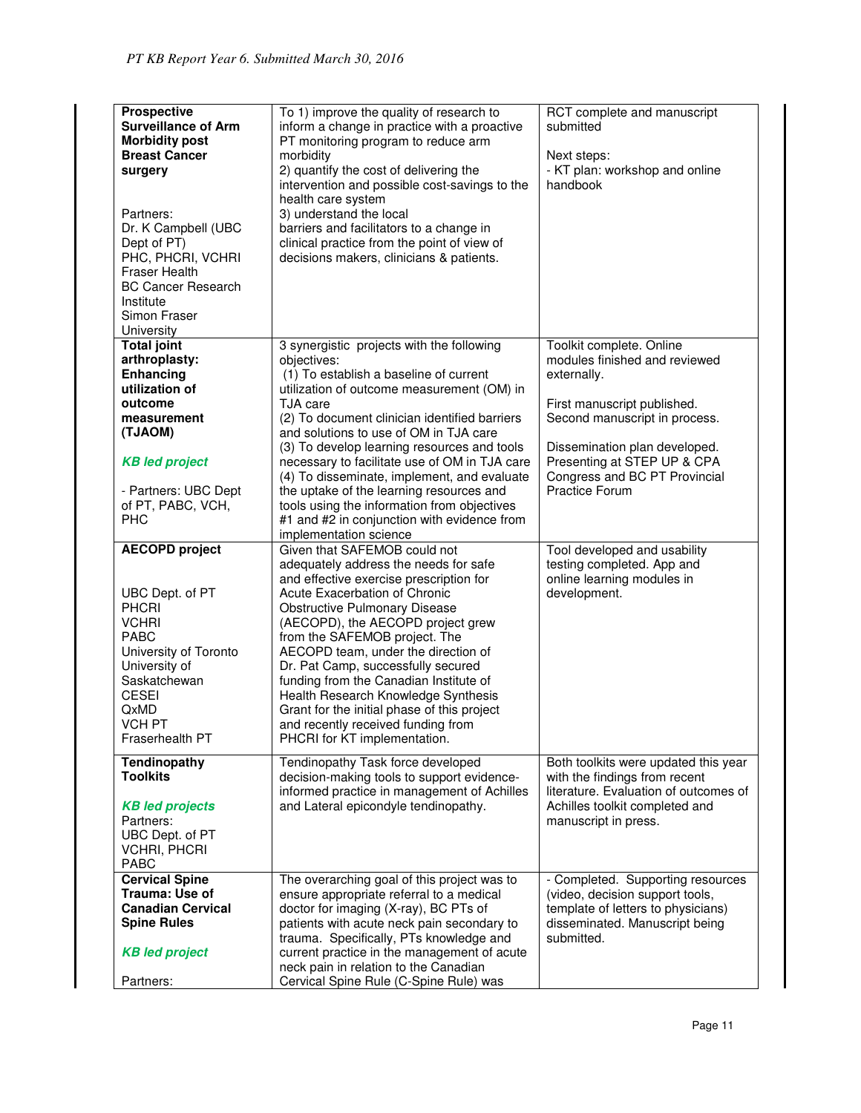| <b>Prospective</b><br><b>Surveillance of Arm</b><br><b>Morbidity post</b><br><b>Breast Cancer</b><br>surgery<br>Partners:<br>Dr. K Campbell (UBC<br>Dept of PT)<br>PHC, PHCRI, VCHRI<br><b>Fraser Health</b><br><b>BC Cancer Research</b><br>Institute<br>Simon Fraser<br>University | To 1) improve the quality of research to<br>inform a change in practice with a proactive<br>PT monitoring program to reduce arm<br>morbidity<br>2) quantify the cost of delivering the<br>intervention and possible cost-savings to the<br>health care system<br>3) understand the local<br>barriers and facilitators to a change in<br>clinical practice from the point of view of<br>decisions makers, clinicians & patients.                                                                                                                                            | RCT complete and manuscript<br>submitted<br>Next steps:<br>- KT plan: workshop and online<br>handbook                                                                                                                                                              |
|--------------------------------------------------------------------------------------------------------------------------------------------------------------------------------------------------------------------------------------------------------------------------------------|----------------------------------------------------------------------------------------------------------------------------------------------------------------------------------------------------------------------------------------------------------------------------------------------------------------------------------------------------------------------------------------------------------------------------------------------------------------------------------------------------------------------------------------------------------------------------|--------------------------------------------------------------------------------------------------------------------------------------------------------------------------------------------------------------------------------------------------------------------|
| <b>Total joint</b><br>arthroplasty:<br>Enhancing<br>utilization of<br>outcome<br>measurement<br>(TJAOM)<br><b>KB led project</b><br>- Partners: UBC Dept<br>of PT, PABC, VCH,<br><b>PHC</b>                                                                                          | 3 synergistic projects with the following<br>objectives:<br>(1) To establish a baseline of current<br>utilization of outcome measurement (OM) in<br>TJA care<br>(2) To document clinician identified barriers<br>and solutions to use of OM in TJA care<br>(3) To develop learning resources and tools<br>necessary to facilitate use of OM in TJA care<br>(4) To disseminate, implement, and evaluate<br>the uptake of the learning resources and<br>tools using the information from objectives<br>#1 and #2 in conjunction with evidence from<br>implementation science | Toolkit complete. Online<br>modules finished and reviewed<br>externally.<br>First manuscript published.<br>Second manuscript in process.<br>Dissemination plan developed.<br>Presenting at STEP UP & CPA<br>Congress and BC PT Provincial<br><b>Practice Forum</b> |
| <b>AECOPD</b> project<br>UBC Dept. of PT<br><b>PHCRI</b><br><b>VCHRI</b><br><b>PABC</b><br>University of Toronto<br>University of<br>Saskatchewan<br><b>CESEI</b><br>QxMD<br><b>VCH PT</b><br>Fraserhealth PT                                                                        | Given that SAFEMOB could not<br>adequately address the needs for safe<br>and effective exercise prescription for<br>Acute Exacerbation of Chronic<br><b>Obstructive Pulmonary Disease</b><br>(AECOPD), the AECOPD project grew<br>from the SAFEMOB project. The<br>AECOPD team, under the direction of<br>Dr. Pat Camp, successfully secured<br>funding from the Canadian Institute of<br>Health Research Knowledge Synthesis<br>Grant for the initial phase of this project<br>and recently received funding from<br>PHCRI for KT implementation.                         | Tool developed and usability<br>testing completed. App and<br>online learning modules in<br>development.                                                                                                                                                           |
| <b>Tendinopathy</b><br><b>Toolkits</b><br><b>KB led projects</b><br>Partners:<br>UBC Dept. of PT<br><b>VCHRI, PHCRI</b><br>PABC                                                                                                                                                      | Tendinopathy Task force developed<br>decision-making tools to support evidence-<br>informed practice in management of Achilles<br>and Lateral epicondyle tendinopathy.                                                                                                                                                                                                                                                                                                                                                                                                     | Both toolkits were updated this year<br>with the findings from recent<br>literature. Evaluation of outcomes of<br>Achilles toolkit completed and<br>manuscript in press.                                                                                           |
| <b>Cervical Spine</b><br>Trauma: Use of<br><b>Canadian Cervical</b><br><b>Spine Rules</b><br><b>KB led project</b><br>Partners:                                                                                                                                                      | The overarching goal of this project was to<br>ensure appropriate referral to a medical<br>doctor for imaging (X-ray), BC PTs of<br>patients with acute neck pain secondary to<br>trauma. Specifically, PTs knowledge and<br>current practice in the management of acute<br>neck pain in relation to the Canadian<br>Cervical Spine Rule (C-Spine Rule) was                                                                                                                                                                                                                | - Completed. Supporting resources<br>(video, decision support tools,<br>template of letters to physicians)<br>disseminated. Manuscript being<br>submitted.                                                                                                         |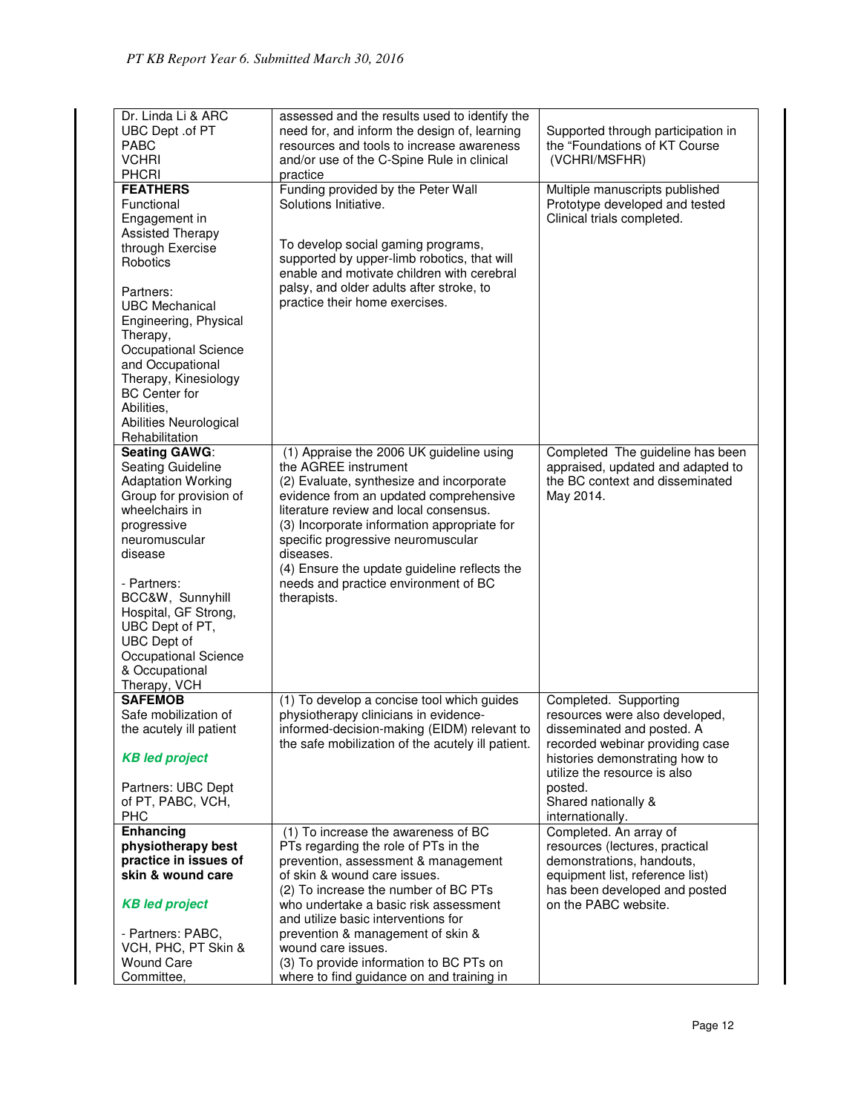| Dr. Linda Li & ARC<br>UBC Dept .of PT<br>PABC<br><b>VCHRI</b><br><b>PHCRI</b> | assessed and the results used to identify the<br>need for, and inform the design of, learning<br>resources and tools to increase awareness<br>and/or use of the C-Spine Rule in clinical<br>practice | Supported through participation in<br>the "Foundations of KT Course<br>(VCHRI/MSFHR) |
|-------------------------------------------------------------------------------|------------------------------------------------------------------------------------------------------------------------------------------------------------------------------------------------------|--------------------------------------------------------------------------------------|
| <b>FEATHERS</b>                                                               | Funding provided by the Peter Wall                                                                                                                                                                   | Multiple manuscripts published                                                       |
| Functional                                                                    | Solutions Initiative.                                                                                                                                                                                | Prototype developed and tested                                                       |
| Engagement in                                                                 |                                                                                                                                                                                                      | Clinical trials completed.                                                           |
| <b>Assisted Therapy</b>                                                       |                                                                                                                                                                                                      |                                                                                      |
| through Exercise                                                              | To develop social gaming programs,                                                                                                                                                                   |                                                                                      |
|                                                                               | supported by upper-limb robotics, that will                                                                                                                                                          |                                                                                      |
| Robotics                                                                      | enable and motivate children with cerebral                                                                                                                                                           |                                                                                      |
|                                                                               | palsy, and older adults after stroke, to                                                                                                                                                             |                                                                                      |
| Partners:                                                                     |                                                                                                                                                                                                      |                                                                                      |
| <b>UBC Mechanical</b>                                                         | practice their home exercises.                                                                                                                                                                       |                                                                                      |
| Engineering, Physical                                                         |                                                                                                                                                                                                      |                                                                                      |
| Therapy,                                                                      |                                                                                                                                                                                                      |                                                                                      |
| Occupational Science                                                          |                                                                                                                                                                                                      |                                                                                      |
| and Occupational                                                              |                                                                                                                                                                                                      |                                                                                      |
| Therapy, Kinesiology                                                          |                                                                                                                                                                                                      |                                                                                      |
| <b>BC</b> Center for                                                          |                                                                                                                                                                                                      |                                                                                      |
| Abilities,                                                                    |                                                                                                                                                                                                      |                                                                                      |
| Abilities Neurological                                                        |                                                                                                                                                                                                      |                                                                                      |
| Rehabilitation                                                                |                                                                                                                                                                                                      |                                                                                      |
| Seating GAWG:                                                                 | (1) Appraise the 2006 UK guideline using                                                                                                                                                             | Completed The guideline has been                                                     |
| Seating Guideline                                                             | the AGREE instrument                                                                                                                                                                                 | appraised, updated and adapted to                                                    |
| <b>Adaptation Working</b>                                                     | (2) Evaluate, synthesize and incorporate                                                                                                                                                             | the BC context and disseminated                                                      |
| Group for provision of                                                        | evidence from an updated comprehensive                                                                                                                                                               | May 2014.                                                                            |
| wheelchairs in                                                                | literature review and local consensus.                                                                                                                                                               |                                                                                      |
| progressive                                                                   | (3) Incorporate information appropriate for                                                                                                                                                          |                                                                                      |
| neuromuscular                                                                 | specific progressive neuromuscular                                                                                                                                                                   |                                                                                      |
| disease                                                                       | diseases.                                                                                                                                                                                            |                                                                                      |
|                                                                               | (4) Ensure the update guideline reflects the                                                                                                                                                         |                                                                                      |
| - Partners:                                                                   | needs and practice environment of BC                                                                                                                                                                 |                                                                                      |
| BCC&W, Sunnyhill                                                              | therapists.                                                                                                                                                                                          |                                                                                      |
| Hospital, GF Strong,                                                          |                                                                                                                                                                                                      |                                                                                      |
| UBC Dept of PT,                                                               |                                                                                                                                                                                                      |                                                                                      |
| <b>UBC</b> Dept of                                                            |                                                                                                                                                                                                      |                                                                                      |
| Occupational Science                                                          |                                                                                                                                                                                                      |                                                                                      |
| & Occupational                                                                |                                                                                                                                                                                                      |                                                                                      |
| Therapy, VCH                                                                  |                                                                                                                                                                                                      |                                                                                      |
| <b>SAFEMOB</b>                                                                | (1) To develop a concise tool which guides                                                                                                                                                           | Completed. Supporting                                                                |
| Safe mobilization of                                                          | physiotherapy clinicians in evidence-                                                                                                                                                                | resources were also developed,                                                       |
| the acutely ill patient                                                       | informed-decision-making (EIDM) relevant to                                                                                                                                                          | disseminated and posted. A                                                           |
|                                                                               | the safe mobilization of the acutely ill patient.                                                                                                                                                    | recorded webinar providing case                                                      |
| <b>KB led project</b>                                                         |                                                                                                                                                                                                      | histories demonstrating how to                                                       |
|                                                                               |                                                                                                                                                                                                      | utilize the resource is also                                                         |
| Partners: UBC Dept                                                            |                                                                                                                                                                                                      | posted.                                                                              |
| of PT, PABC, VCH,                                                             |                                                                                                                                                                                                      | Shared nationally &                                                                  |
| <b>PHC</b>                                                                    |                                                                                                                                                                                                      | internationally.                                                                     |
| Enhancing                                                                     | (1) To increase the awareness of BC                                                                                                                                                                  | Completed. An array of                                                               |
| physiotherapy best                                                            | PTs regarding the role of PTs in the                                                                                                                                                                 | resources (lectures, practical                                                       |
| practice in issues of                                                         | prevention, assessment & management                                                                                                                                                                  | demonstrations, handouts,                                                            |
| skin & wound care                                                             | of skin & wound care issues.                                                                                                                                                                         | equipment list, reference list)                                                      |
|                                                                               | (2) To increase the number of BC PTs                                                                                                                                                                 | has been developed and posted                                                        |
| <b>KB led project</b>                                                         | who undertake a basic risk assessment                                                                                                                                                                | on the PABC website.                                                                 |
|                                                                               | and utilize basic interventions for                                                                                                                                                                  |                                                                                      |
| - Partners: PABC,                                                             | prevention & management of skin &                                                                                                                                                                    |                                                                                      |
| VCH, PHC, PT Skin &                                                           | wound care issues.                                                                                                                                                                                   |                                                                                      |
| <b>Wound Care</b>                                                             | (3) To provide information to BC PTs on                                                                                                                                                              |                                                                                      |
| Committee,                                                                    |                                                                                                                                                                                                      |                                                                                      |
|                                                                               | where to find guidance on and training in                                                                                                                                                            |                                                                                      |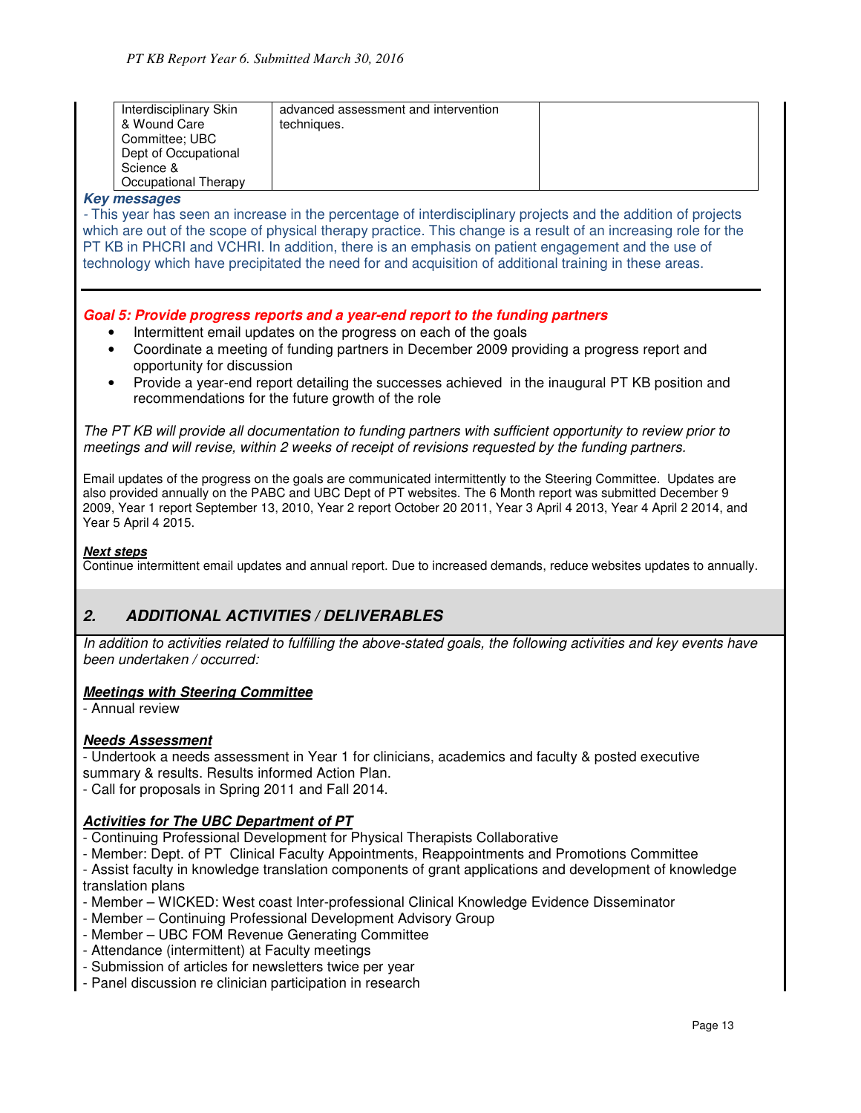| Interdisciplinary Skin<br>& Wound Care<br>Committee: UBC<br>Dept of Occupational<br>Science & | advanced assessment and intervention<br>techniques. |  |
|-----------------------------------------------------------------------------------------------|-----------------------------------------------------|--|
| Occupational Therapy                                                                          |                                                     |  |

#### **Key messages**

- This year has seen an increase in the percentage of interdisciplinary projects and the addition of projects which are out of the scope of physical therapy practice. This change is a result of an increasing role for the PT KB in PHCRI and VCHRI. In addition, there is an emphasis on patient engagement and the use of technology which have precipitated the need for and acquisition of additional training in these areas.

### **Goal 5: Provide progress reports and a year-end report to the funding partners**

- Intermittent email updates on the progress on each of the goals
- Coordinate a meeting of funding partners in December 2009 providing a progress report and opportunity for discussion
- Provide a year-end report detailing the successes achieved in the inaugural PT KB position and recommendations for the future growth of the role

The PT KB will provide all documentation to funding partners with sufficient opportunity to review prior to meetings and will revise, within 2 weeks of receipt of revisions requested by the funding partners.

Email updates of the progress on the goals are communicated intermittently to the Steering Committee. Updates are also provided annually on the PABC and UBC Dept of PT websites. The 6 Month report was submitted December 9 2009, Year 1 report September 13, 2010, Year 2 report October 20 2011, Year 3 April 4 2013, Year 4 April 2 2014, and Year 5 April 4 2015.

#### **Next steps**

Continue intermittent email updates and annual report. Due to increased demands, reduce websites updates to annually.

# **2. ADDITIONAL ACTIVITIES / DELIVERABLES**

In addition to activities related to fulfilling the above-stated goals, the following activities and key events have been undertaken / occurred:

#### **Meetings with Steering Committee**

- Annual review

#### **Needs Assessment**

- Undertook a needs assessment in Year 1 for clinicians, academics and faculty & posted executive summary & results. Results informed Action Plan.

- Call for proposals in Spring 2011 and Fall 2014.

#### **Activities for The UBC Department of PT**

- Continuing Professional Development for Physical Therapists Collaborative
- Member: Dept. of PT Clinical Faculty Appointments, Reappointments and Promotions Committee

- Assist faculty in knowledge translation components of grant applications and development of knowledge translation plans

- Member WICKED: West coast Inter-professional Clinical Knowledge Evidence Disseminator
- Member Continuing Professional Development Advisory Group
- Member UBC FOM Revenue Generating Committee
- Attendance (intermittent) at Faculty meetings
- Submission of articles for newsletters twice per year
- Panel discussion re clinician participation in research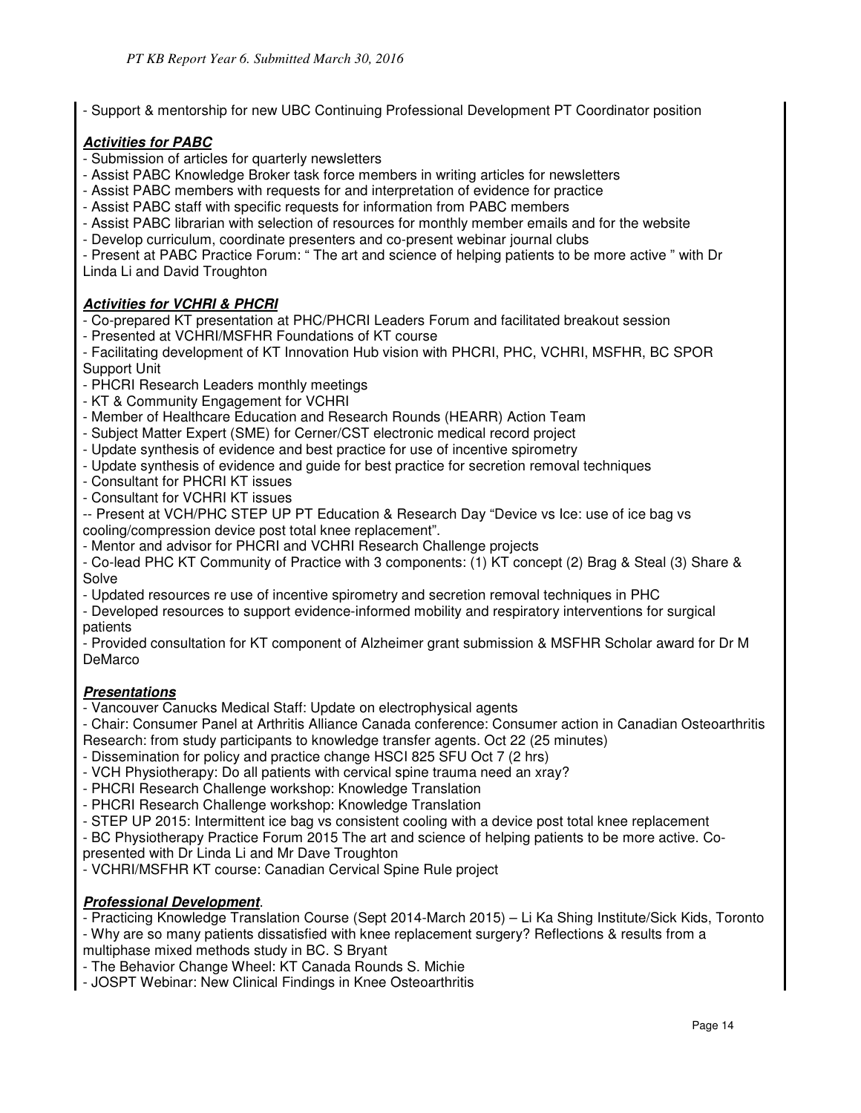- Support & mentorship for new UBC Continuing Professional Development PT Coordinator position

# **Activities for PABC**

- Submission of articles for quarterly newsletters
- Assist PABC Knowledge Broker task force members in writing articles for newsletters
- Assist PABC members with requests for and interpretation of evidence for practice
- Assist PABC staff with specific requests for information from PABC members
- Assist PABC librarian with selection of resources for monthly member emails and for the website
- Develop curriculum, coordinate presenters and co-present webinar journal clubs

- Present at PABC Practice Forum: " The art and science of helping patients to be more active " with Dr Linda Li and David Troughton

# **Activities for VCHRI & PHCRI**

- Co-prepared KT presentation at PHC/PHCRI Leaders Forum and facilitated breakout session

- Presented at VCHRI/MSFHR Foundations of KT course

- Facilitating development of KT Innovation Hub vision with PHCRI, PHC, VCHRI, MSFHR, BC SPOR Support Unit

- PHCRI Research Leaders monthly meetings
- KT & Community Engagement for VCHRI
- Member of Healthcare Education and Research Rounds (HEARR) Action Team
- Subject Matter Expert (SME) for Cerner/CST electronic medical record project
- Update synthesis of evidence and best practice for use of incentive spirometry
- Update synthesis of evidence and guide for best practice for secretion removal techniques
- Consultant for PHCRI KT issues
- Consultant for VCHRI KT issues

-- Present at VCH/PHC STEP UP PT Education & Research Day "Device vs Ice: use of ice bag vs cooling/compression device post total knee replacement".

- Mentor and advisor for PHCRI and VCHRI Research Challenge projects

- Co-lead PHC KT Community of Practice with 3 components: (1) KT concept (2) Brag & Steal (3) Share & Solve

- Updated resources re use of incentive spirometry and secretion removal techniques in PHC
- Developed resources to support evidence-informed mobility and respiratory interventions for surgical patients

- Provided consultation for KT component of Alzheimer grant submission & MSFHR Scholar award for Dr M DeMarco

# **Presentations**

- Vancouver Canucks Medical Staff: Update on electrophysical agents

- Chair: Consumer Panel at Arthritis Alliance Canada conference: Consumer action in Canadian Osteoarthritis
- Research: from study participants to knowledge transfer agents. Oct 22 (25 minutes)
- Dissemination for policy and practice change HSCI 825 SFU Oct 7 (2 hrs)
- VCH Physiotherapy: Do all patients with cervical spine trauma need an xray?
- PHCRI Research Challenge workshop: Knowledge Translation
- PHCRI Research Challenge workshop: Knowledge Translation
- STEP UP 2015: Intermittent ice bag vs consistent cooling with a device post total knee replacement
- BC Physiotherapy Practice Forum 2015 The art and science of helping patients to be more active. Co-
- presented with Dr Linda Li and Mr Dave Troughton
- VCHRI/MSFHR KT course: Canadian Cervical Spine Rule project

# **Professional Development**.

- Practicing Knowledge Translation Course (Sept 2014-March 2015) – Li Ka Shing Institute/Sick Kids, Toronto

- Why are so many patients dissatisfied with knee replacement surgery? Reflections & results from a multiphase mixed methods study in BC. S Bryant

- The Behavior Change Wheel: KT Canada Rounds S. Michie

- JOSPT Webinar: New Clinical Findings in Knee Osteoarthritis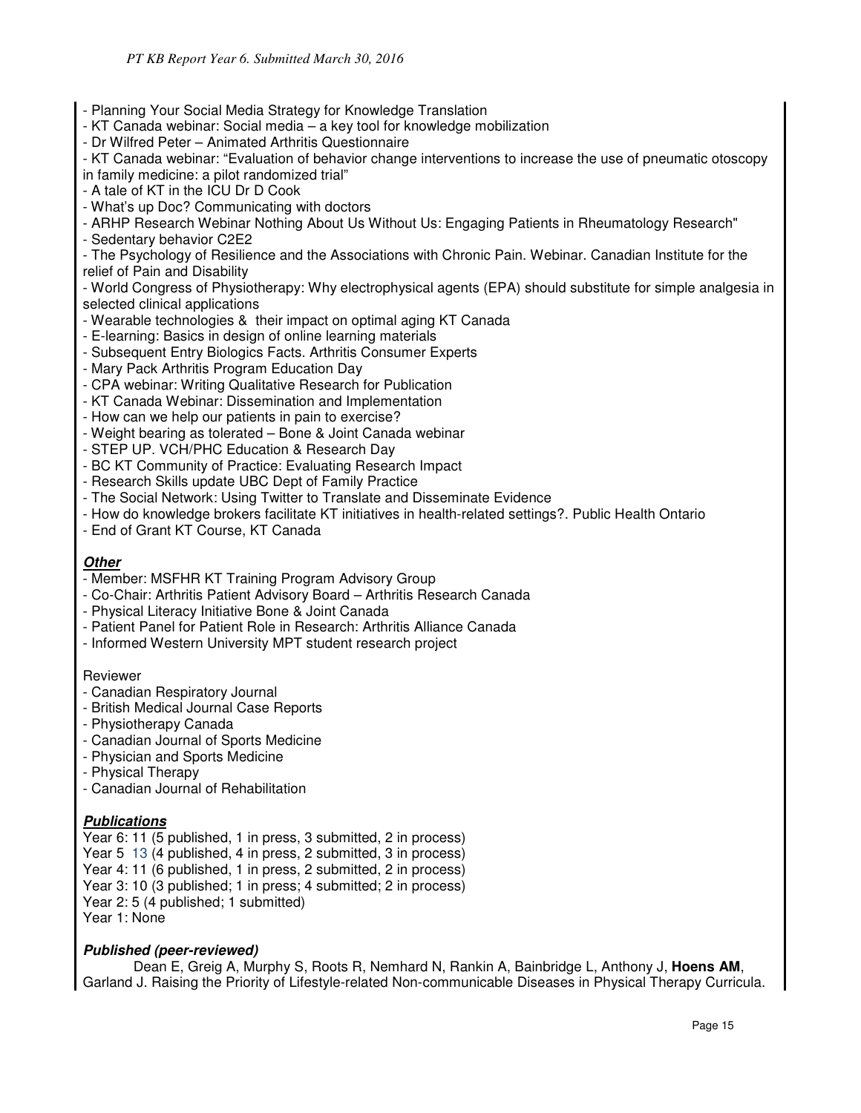- Planning Your Social Media Strategy for Knowledge Translation
- KT Canada webinar: Social media a key tool for knowledge mobilization
- Dr Wilfred Peter Animated Arthritis Questionnaire

- KT Canada webinar: "Evaluation of behavior change interventions to increase the use of pneumatic otoscopy in family medicine: a pilot randomized trial"

- A tale of KT in the ICU Dr D Cook
- What's up Doc? Communicating with doctors

- ARHP Research Webinar Nothing About Us Without Us: Engaging Patients in Rheumatology Research"

- Sedentary behavior C2E2

- The Psychology of Resilience and the Associations with Chronic Pain. Webinar. Canadian Institute for the relief of Pain and Disability

- World Congress of Physiotherapy: Why electrophysical agents (EPA) should substitute for simple analgesia in selected clinical applications

- Wearable technologies & their impact on optimal aging KT Canada
- E-learning: Basics in design of online learning materials
- Subsequent Entry Biologics Facts. Arthritis Consumer Experts
- Mary Pack Arthritis Program Education Day
- CPA webinar: Writing Qualitative Research for Publication
- KT Canada Webinar: Dissemination and Implementation
- How can we help our patients in pain to exercise?
- Weight bearing as tolerated Bone & Joint Canada webinar
- STEP UP. VCH/PHC Education & Research Day
- BC KT Community of Practice: Evaluating Research Impact
- Research Skills update UBC Dept of Family Practice
- The Social Network: Using Twitter to Translate and Disseminate Evidence
- How do knowledge brokers facilitate KT initiatives in health-related settings?. Public Health Ontario
- End of Grant KT Course, KT Canada

#### **Other**

- Member: MSFHR KT Training Program Advisory Group
- Co-Chair: Arthritis Patient Advisory Board Arthritis Research Canada
- Physical Literacy Initiative Bone & Joint Canada
- Patient Panel for Patient Role in Research: Arthritis Alliance Canada
- Informed Western University MPT student research project

#### Reviewer

- Canadian Respiratory Journal
- British Medical Journal Case Reports
- Physiotherapy Canada
- Canadian Journal of Sports Medicine
- Physician and Sports Medicine
- Physical Therapy
- Canadian Journal of Rehabilitation

# **Publications**

Year 6: 11 (5 published, 1 in press, 3 submitted, 2 in process) Year 5 13 (4 published, 4 in press, 2 submitted, 3 in process)

Year 4: 11 (6 published, 1 in press, 2 submitted, 2 in process)

Year 3: 10 (3 published; 1 in press; 4 submitted; 2 in process)

Year 2: 5 (4 published; 1 submitted)

Year 1: None

# **Published (peer-reviewed)**

Dean E, Greig A, Murphy S, Roots R, Nemhard N, Rankin A, Bainbridge L, Anthony J, **Hoens AM**, Garland J. Raising the Priority of Lifestyle-related Non-communicable Diseases in Physical Therapy Curricula.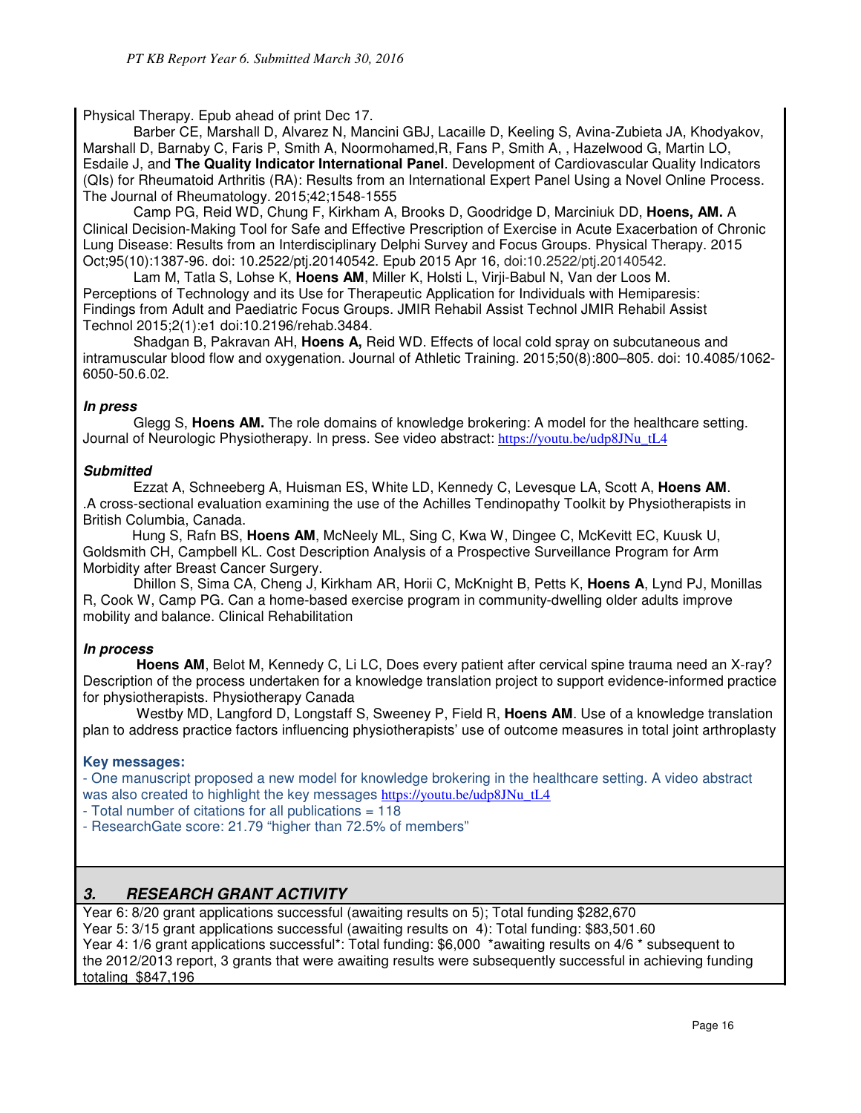Physical Therapy. Epub ahead of print Dec 17.

Barber CE, Marshall D, Alvarez N, Mancini GBJ, Lacaille D, Keeling S, Avina-Zubieta JA, Khodyakov, Marshall D, Barnaby C, Faris P, Smith A, Noormohamed,R, Fans P, Smith A, , Hazelwood G, Martin LO, Esdaile J, and **The Quality Indicator International Panel**. Development of Cardiovascular Quality Indicators (QIs) for Rheumatoid Arthritis (RA): Results from an International Expert Panel Using a Novel Online Process. The Journal of Rheumatology. 2015;42;1548-1555

Camp PG, Reid WD, Chung F, Kirkham A, Brooks D, Goodridge D, Marciniuk DD, **Hoens, AM.** A Clinical Decision-Making Tool for Safe and Effective Prescription of Exercise in Acute Exacerbation of Chronic Lung Disease: Results from an Interdisciplinary Delphi Survey and Focus Groups. Physical Therapy. 2015 Oct;95(10):1387-96. doi: 10.2522/ptj.20140542. Epub 2015 Apr 16, doi:10.2522/ptj.20140542.

Lam M, Tatla S, Lohse K, **Hoens AM**, Miller K, Holsti L, Virji-Babul N, Van der Loos M. Perceptions of Technology and its Use for Therapeutic Application for Individuals with Hemiparesis: Findings from Adult and Paediatric Focus Groups. JMIR Rehabil Assist Technol JMIR Rehabil Assist Technol 2015;2(1):e1 doi:10.2196/rehab.3484.

Shadgan B, Pakravan AH, **Hoens A,** Reid WD. Effects of local cold spray on subcutaneous and intramuscular blood flow and oxygenation. Journal of Athletic Training. 2015;50(8):800–805. doi: 10.4085/1062- 6050-50.6.02.

### **In press**

Glegg S, **Hoens AM.** The role domains of knowledge brokering: A model for the healthcare setting. Journal of Neurologic Physiotherapy. In press. See video abstract: https://youtu.be/udp8JNu\_tL4

### **Submitted**

 Ezzat A, Schneeberg A, Huisman ES, White LD, Kennedy C, Levesque LA, Scott A, **Hoens AM**. .A cross-sectional evaluation examining the use of the Achilles Tendinopathy Toolkit by Physiotherapists in British Columbia, Canada.

 Hung S, Rafn BS, **Hoens AM**, McNeely ML, Sing C, Kwa W, Dingee C, McKevitt EC, Kuusk U, Goldsmith CH, Campbell KL. Cost Description Analysis of a Prospective Surveillance Program for Arm Morbidity after Breast Cancer Surgery.

Dhillon S, Sima CA, Cheng J, Kirkham AR, Horii C, McKnight B, Petts K, **Hoens A**, Lynd PJ, Monillas R, Cook W, Camp PG. Can a home-based exercise program in community-dwelling older adults improve mobility and balance. Clinical Rehabilitation

# **In process**

**Hoens AM**, Belot M, Kennedy C, Li LC, Does every patient after cervical spine trauma need an X-ray? Description of the process undertaken for a knowledge translation project to support evidence-informed practice for physiotherapists. Physiotherapy Canada

Westby MD, Langford D, Longstaff S, Sweeney P, Field R, **Hoens AM**. Use of a knowledge translation plan to address practice factors influencing physiotherapists' use of outcome measures in total joint arthroplasty

#### **Key messages:**

- One manuscript proposed a new model for knowledge brokering in the healthcare setting. A video abstract was also created to highlight the key messages https://youtu.be/udp8JNu\_tL4

- Total number of citations for all publications = 118
- ResearchGate score: 21.79 "higher than 72.5% of members"

# **3. RESEARCH GRANT ACTIVITY**

Year 6: 8/20 grant applications successful (awaiting results on 5); Total funding \$282,670 Year 5: 3/15 grant applications successful (awaiting results on 4): Total funding: \$83,501.60 Year 4: 1/6 grant applications successful\*: Total funding: \$6,000 \*awaiting results on 4/6 \* subsequent to the 2012/2013 report, 3 grants that were awaiting results were subsequently successful in achieving funding totaling \$847,196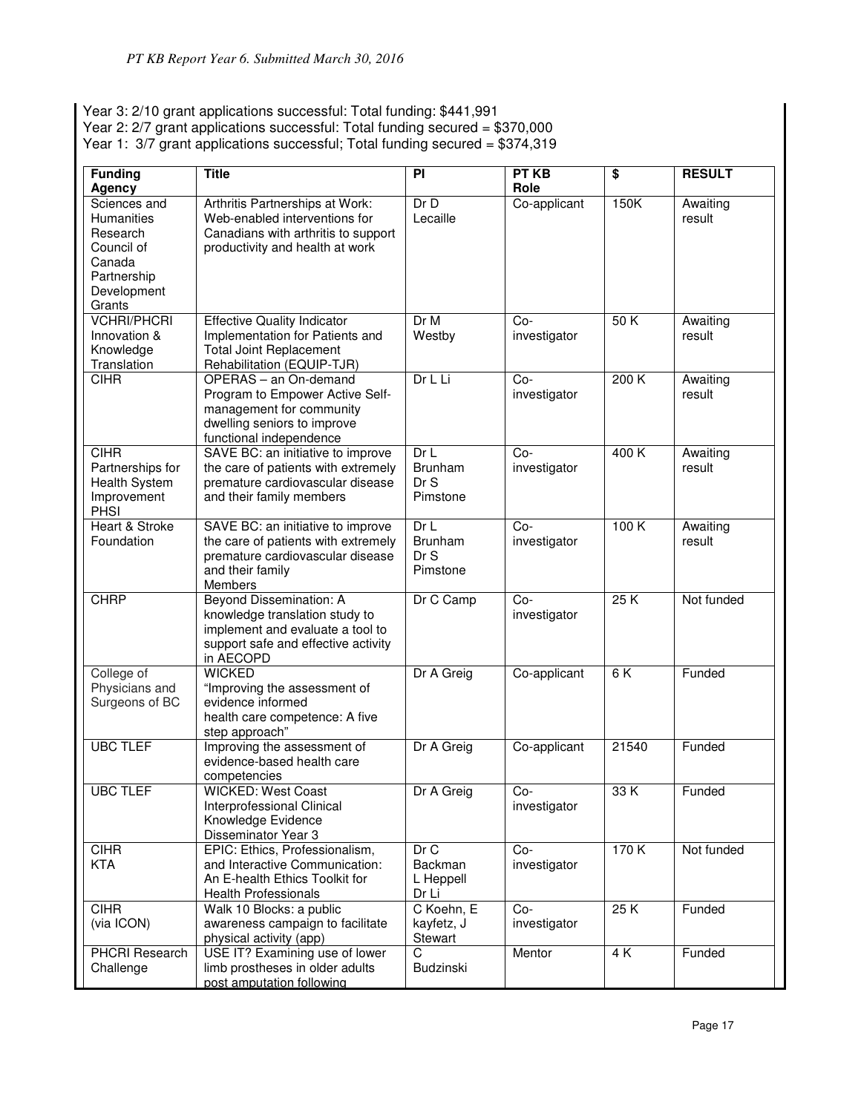Year 3: 2/10 grant applications successful: Total funding: \$441,991

Year 2: 2/7 grant applications successful: Total funding secured = \$370,000

Year 1: 3/7 grant applications successful; Total funding secured = \$374,319

| <b>Funding</b><br><b>Agency</b>                                                                               | <b>Title</b>                                                                                                                                      | PI                                        | PT KB<br>Role         | $\overline{\boldsymbol{\mathsf{s}}}$ | <b>RESULT</b>      |
|---------------------------------------------------------------------------------------------------------------|---------------------------------------------------------------------------------------------------------------------------------------------------|-------------------------------------------|-----------------------|--------------------------------------|--------------------|
| Sciences and<br><b>Humanities</b><br>Research<br>Council of<br>Canada<br>Partnership<br>Development<br>Grants | Arthritis Partnerships at Work:<br>Web-enabled interventions for<br>Canadians with arthritis to support<br>productivity and health at work        | Dr D<br>Lecaille                          | Co-applicant          | 150K                                 | Awaiting<br>result |
| <b>VCHRI/PHCRI</b><br>Innovation &<br>Knowledge<br>Translation                                                | <b>Effective Quality Indicator</b><br>Implementation for Patients and<br><b>Total Joint Replacement</b><br>Rehabilitation (EQUIP-TJR)             | Dr M<br>Westby                            | Co-<br>investigator   | 50K                                  | Awaiting<br>result |
| <b>CIHR</b>                                                                                                   | OPERAS - an On-demand<br>Program to Empower Active Self-<br>management for community<br>dwelling seniors to improve<br>functional independence    | Dr L Li                                   | Co-<br>investigator   | 200K                                 | Awaiting<br>result |
| <b>CIHR</b><br>Partnerships for<br>Health System<br>Improvement<br><b>PHSI</b>                                | SAVE BC: an initiative to improve<br>the care of patients with extremely<br>premature cardiovascular disease<br>and their family members          | DrL<br><b>Brunham</b><br>Dr S<br>Pimstone | $Co-$<br>investigator | 400K                                 | Awaiting<br>result |
| Heart & Stroke<br>Foundation                                                                                  | SAVE BC: an initiative to improve<br>the care of patients with extremely<br>premature cardiovascular disease<br>and their family<br>Members       | Dr L<br>Brunham<br>Dr S<br>Pimstone       | Co-<br>investigator   | 100K                                 | Awaiting<br>result |
| <b>CHRP</b>                                                                                                   | Beyond Dissemination: A<br>knowledge translation study to<br>implement and evaluate a tool to<br>support safe and effective activity<br>in AECOPD | Dr C Camp                                 | $Co-$<br>investigator | 25K                                  | Not funded         |
| College of<br>Physicians and<br>Surgeons of BC                                                                | <b>WICKED</b><br>"Improving the assessment of<br>evidence informed<br>health care competence: A five<br>step approach"                            | Dr A Greig                                | Co-applicant          | 6K                                   | Funded             |
| <b>UBC TLEF</b>                                                                                               | Improving the assessment of<br>evidence-based health care<br>competencies                                                                         | Dr A Greig                                | Co-applicant          | 21540                                | Funded             |
| <b>UBC TLEF</b>                                                                                               | <b>WICKED: West Coast</b><br>Interprofessional Clinical<br>Knowledge Evidence<br>Disseminator Year 3                                              | Dr A Greig                                | Co-<br>investigator   | 33K                                  | Funded             |
| <b>CIHR</b><br><b>KTA</b>                                                                                     | EPIC: Ethics, Professionalism,<br>and Interactive Communication:<br>An E-health Ethics Toolkit for<br><b>Health Professionals</b>                 | DrC<br>Backman<br>L Heppell<br>Dr Li      | Co-<br>investigator   | 170K                                 | Not funded         |
| <b>CIHR</b><br>(via ICON)                                                                                     | Walk 10 Blocks: a public<br>awareness campaign to facilitate<br>physical activity (app)                                                           | C Koehn, E<br>kayfetz, J<br>Stewart       | $Co-$<br>investigator | 25K                                  | Funded             |
| <b>PHCRI Research</b><br>Challenge                                                                            | USE IT? Examining use of lower<br>limb prostheses in older adults<br>post amputation following                                                    | $\overline{C}$<br>Budzinski               | Mentor                | 4 K                                  | Funded             |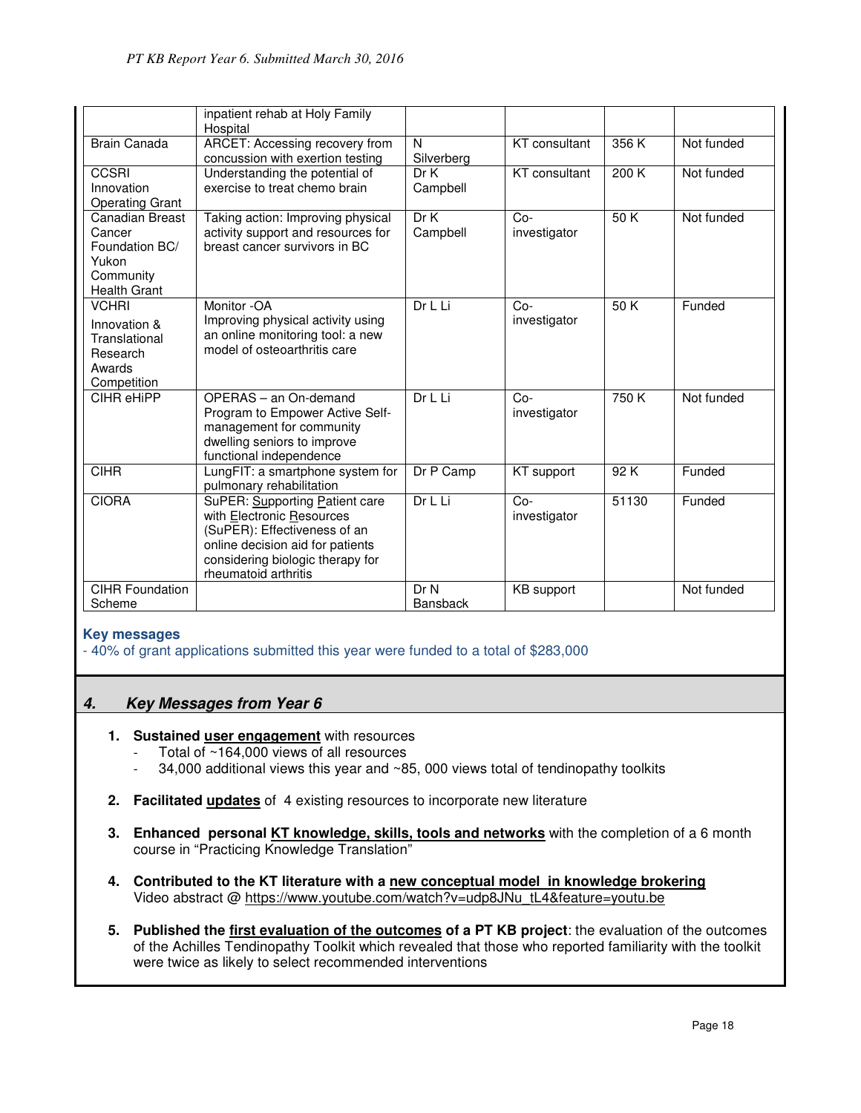|                                                                                                 | inpatient rehab at Holy Family<br>Hospital                                                                                                                                                  |                         |                       |       |            |
|-------------------------------------------------------------------------------------------------|---------------------------------------------------------------------------------------------------------------------------------------------------------------------------------------------|-------------------------|-----------------------|-------|------------|
| <b>Brain Canada</b>                                                                             | ARCET: Accessing recovery from<br>concussion with exertion testing                                                                                                                          | N<br>Silverberg         | <b>KT</b> consultant  | 356 K | Not funded |
| <b>CCSRI</b><br>Innovation<br><b>Operating Grant</b>                                            | Understanding the potential of<br>exercise to treat chemo brain                                                                                                                             | Dr K<br>Campbell        | <b>KT</b> consultant  | 200K  | Not funded |
| <b>Canadian Breast</b><br>Cancer<br>Foundation BC/<br>Yukon<br>Community<br><b>Health Grant</b> | Taking action: Improving physical<br>activity support and resources for<br>breast cancer survivors in BC                                                                                    | Dr K<br>Campbell        | $Co-$<br>investigator | 50K   | Not funded |
| <b>VCHRI</b><br>Innovation &<br>Translational<br>Research<br>Awards<br>Competition              | Monitor -OA<br>Improving physical activity using<br>an online monitoring tool: a new<br>model of osteoarthritis care                                                                        | Dr L Li                 | $Co-$<br>investigator | 50K   | Funded     |
| CIHR eHiPP                                                                                      | OPERAS - an On-demand<br>Program to Empower Active Self-<br>management for community<br>dwelling seniors to improve<br>functional independence                                              | Dr L Li                 | $Co-$<br>investigator | 750 K | Not funded |
| <b>CIHR</b>                                                                                     | LungFIT: a smartphone system for<br>pulmonary rehabilitation                                                                                                                                | Dr P Camp               | KT support            | 92K   | Funded     |
| <b>CIORA</b>                                                                                    | SuPER: Supporting Patient care<br>with Electronic Resources<br>(SuPER): Effectiveness of an<br>online decision aid for patients<br>considering biologic therapy for<br>rheumatoid arthritis | Dr L Li                 | $Co-$<br>investigator | 51130 | Funded     |
| <b>CIHR Foundation</b><br>Scheme                                                                |                                                                                                                                                                                             | Dr N<br><b>Bansback</b> | <b>KB</b> support     |       | Not funded |

#### **Key messages**

- 40% of grant applications submitted this year were funded to a total of \$283,000

# **4. Key Messages from Year 6**

- **1. Sustained user engagement** with resources
	- Total of  $~164,000$  views of all resources
	- 34,000 additional views this year and  $~85$ , 000 views total of tendinopathy toolkits
- **2. Facilitated updates** of 4 existing resources to incorporate new literature
- **3. Enhanced personal KT knowledge, skills, tools and networks** with the completion of a 6 month course in "Practicing Knowledge Translation"
- **4. Contributed to the KT literature with a new conceptual model in knowledge brokering**  Video abstract @ https://www.youtube.com/watch?v=udp8JNu\_tL4&feature=youtu.be
- **5. Published the first evaluation of the outcomes of a PT KB project**: the evaluation of the outcomes of the Achilles Tendinopathy Toolkit which revealed that those who reported familiarity with the toolkit were twice as likely to select recommended interventions